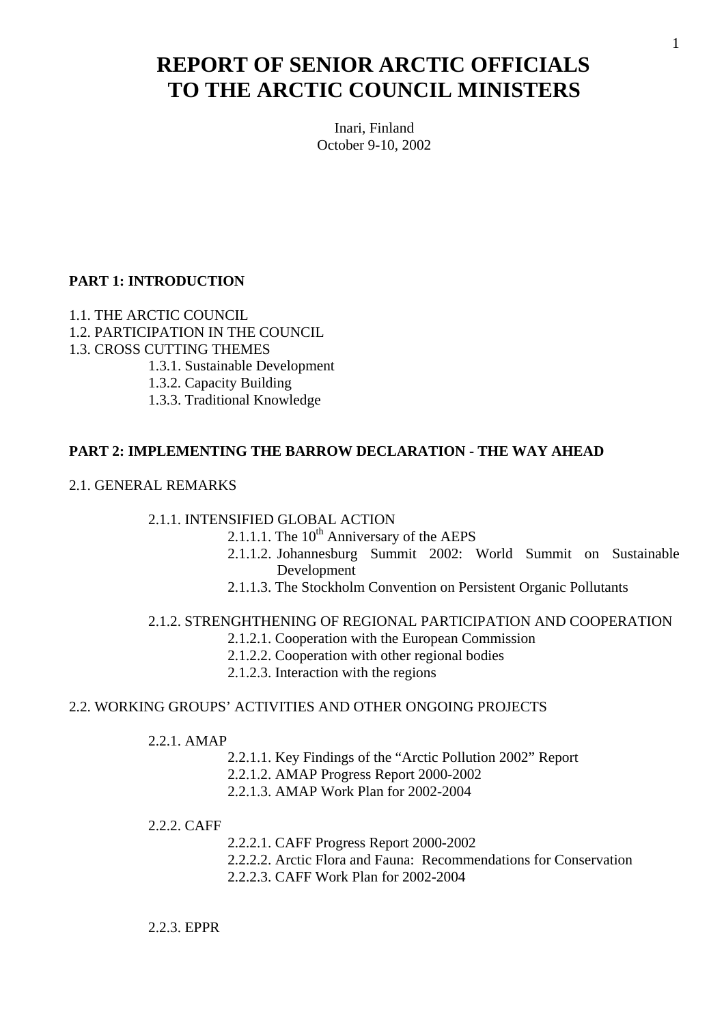# **REPORT OF SENIOR ARCTIC OFFICIALS TO THE ARCTIC COUNCIL MINISTERS**

Inari, Finland October 9-10, 2002

#### **PART 1: INTRODUCTION**

- 1.1. THE ARCTIC COUNCIL
- 1.2. PARTICIPATION IN THE COUNCIL
- 1.3. CROSS CUTTING THEMES
	- 1.3.1. Sustainable Development
	- 1.3.2. Capacity Building
	- 1.3.3. Traditional Knowledge

#### **PART 2: IMPLEMENTING THE BARROW DECLARATION - THE WAY AHEAD**

2.1. GENERAL REMARKS

#### 2.1.1. INTENSIFIED GLOBAL ACTION

- 2.1.1.1. The  $10^{th}$  Anniversary of the AEPS
- 2.1.1.2. Johannesburg Summit 2002: World Summit on Sustainable Development
- 2.1.1.3. The Stockholm Convention on Persistent Organic Pollutants

#### 2.1.2. STRENGHTHENING OF REGIONAL PARTICIPATION AND COOPERATION

- 2.1.2.1. Cooperation with the European Commission
- 2.1.2.2. Cooperation with other regional bodies
- 2.1.2.3. Interaction with the regions

#### 2.2. WORKING GROUPS' ACTIVITIES AND OTHER ONGOING PROJECTS

- 2.2.1. AMAP
	- 2.2.1.1. Key Findings of the "Arctic Pollution 2002" Report
	- 2.2.1.2. AMAP Progress Report 2000-2002
	- 2.2.1.3. AMAP Work Plan for 2002-2004

#### 2.2.2. CAFF

- 2.2.2.1. CAFF Progress Report 2000-2002
- 2.2.2.2. Arctic Flora and Fauna: Recommendations for Conservation
- 2.2.2.3. CAFF Work Plan for 2002-2004

#### 2.2.3. EPPR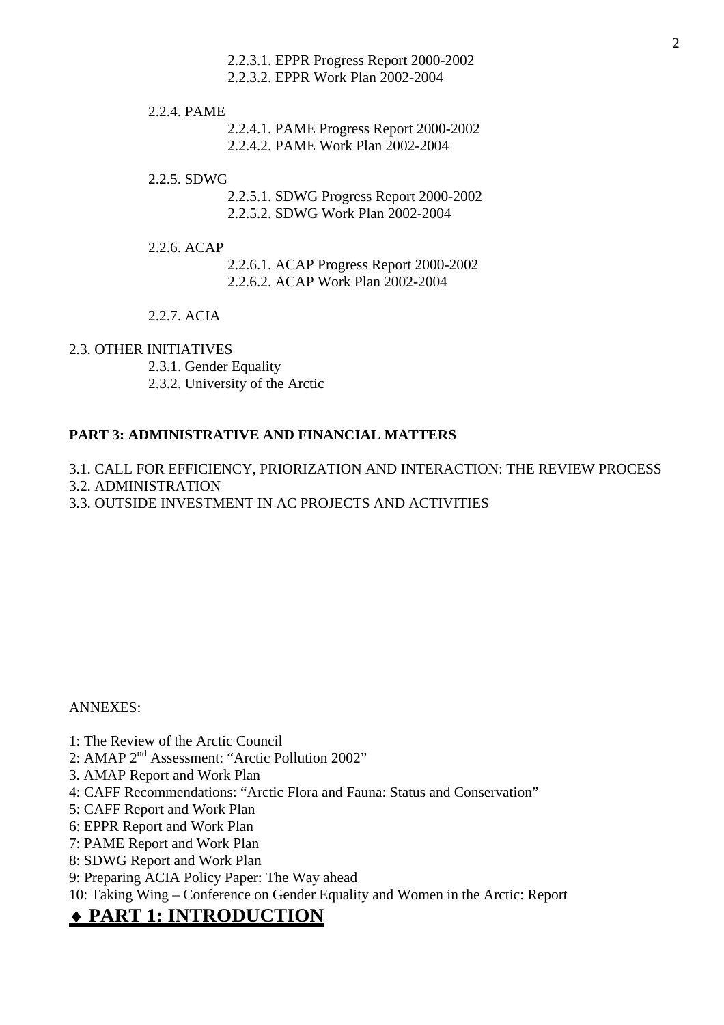2.2.3.1. EPPR Progress Report 2000-2002

2.2.3.2. EPPR Work Plan 2002-2004

2.2.4. PAME

2.2.4.1. PAME Progress Report 2000-2002

2.2.4.2. PAME Work Plan 2002-2004

2.2.5. SDWG

2.2.5.1. SDWG Progress Report 2000-2002 2.2.5.2. SDWG Work Plan 2002-2004

2.2.6. ACAP

2.2.6.1. ACAP Progress Report 2000-2002 2.2.6.2. ACAP Work Plan 2002-2004

2.2.7. ACIA

#### 2.3. OTHER INITIATIVES

2.3.1. Gender Equality

2.3.2. University of the Arctic

# **PART 3: ADMINISTRATIVE AND FINANCIAL MATTERS**

3.1. CALL FOR EFFICIENCY, PRIORIZATION AND INTERACTION: THE REVIEW PROCESS

3.2. ADMINISTRATION

3.3. OUTSIDE INVESTMENT IN AC PROJECTS AND ACTIVITIES

ANNEXES:

- 1: The Review of the Arctic Council
- 2: AMAP 2nd Assessment: "Arctic Pollution 2002"
- 3. AMAP Report and Work Plan
- 4: CAFF Recommendations: "Arctic Flora and Fauna: Status and Conservation"
- 5: CAFF Report and Work Plan
- 6: EPPR Report and Work Plan
- 7: PAME Report and Work Plan
- 8: SDWG Report and Work Plan
- 9: Preparing ACIA Policy Paper: The Way ahead

10: Taking Wing – Conference on Gender Equality and Women in the Arctic: Report

# ♦ **PART 1: INTRODUCTION**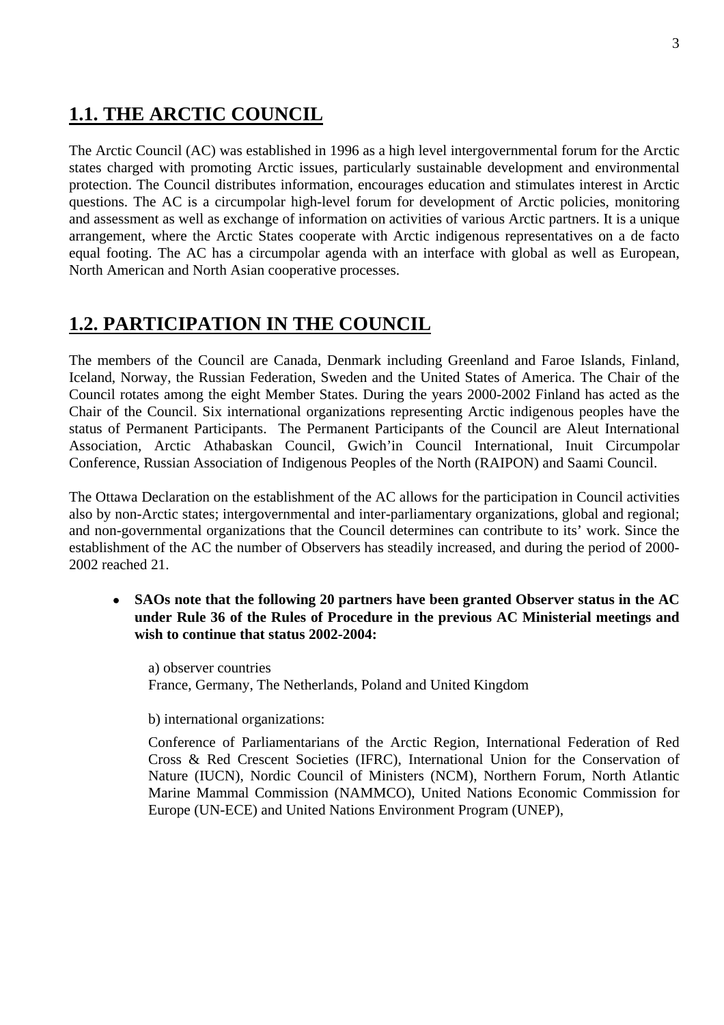# **1.1. THE ARCTIC COUNCIL**

The Arctic Council (AC) was established in 1996 as a high level intergovernmental forum for the Arctic states charged with promoting Arctic issues, particularly sustainable development and environmental protection. The Council distributes information, encourages education and stimulates interest in Arctic questions. The AC is a circumpolar high-level forum for development of Arctic policies, monitoring and assessment as well as exchange of information on activities of various Arctic partners. It is a unique arrangement, where the Arctic States cooperate with Arctic indigenous representatives on a de facto equal footing. The AC has a circumpolar agenda with an interface with global as well as European, North American and North Asian cooperative processes.

# **1.2. PARTICIPATION IN THE COUNCIL**

The members of the Council are Canada, Denmark including Greenland and Faroe Islands, Finland, Iceland, Norway, the Russian Federation, Sweden and the United States of America. The Chair of the Council rotates among the eight Member States. During the years 2000-2002 Finland has acted as the Chair of the Council. Six international organizations representing Arctic indigenous peoples have the status of Permanent Participants. The Permanent Participants of the Council are Aleut International Association, Arctic Athabaskan Council, Gwich'in Council International, Inuit Circumpolar Conference, Russian Association of Indigenous Peoples of the North (RAIPON) and Saami Council.

The Ottawa Declaration on the establishment of the AC allows for the participation in Council activities also by non-Arctic states; intergovernmental and inter-parliamentary organizations, global and regional; and non-governmental organizations that the Council determines can contribute to its' work. Since the establishment of the AC the number of Observers has steadily increased, and during the period of 2000- 2002 reached 21.

• **SAOs note that the following 20 partners have been granted Observer status in the AC under Rule 36 of the Rules of Procedure in the previous AC Ministerial meetings and wish to continue that status 2002-2004:** 

a) observer countries France, Germany, The Netherlands, Poland and United Kingdom

b) international organizations:

Conference of Parliamentarians of the Arctic Region, International Federation of Red Cross & Red Crescent Societies (IFRC), International Union for the Conservation of Nature (IUCN), Nordic Council of Ministers (NCM), Northern Forum, North Atlantic Marine Mammal Commission (NAMMCO), United Nations Economic Commission for Europe (UN-ECE) and United Nations Environment Program (UNEP),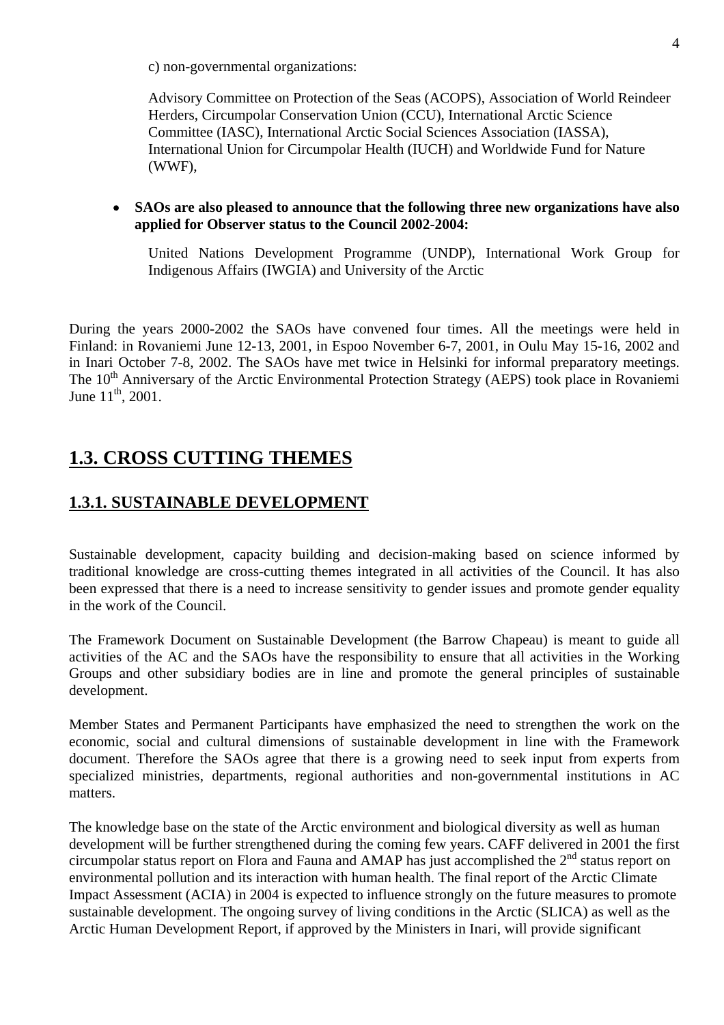c) non-governmental organizations:

Advisory Committee on Protection of the Seas (ACOPS), Association of World Reindeer Herders, Circumpolar Conservation Union (CCU), International Arctic Science Committee (IASC), International Arctic Social Sciences Association (IASSA), International Union for Circumpolar Health (IUCH) and Worldwide Fund for Nature (WWF),

# • **SAOs are also pleased to announce that the following three new organizations have also applied for Observer status to the Council 2002-2004:**

United Nations Development Programme (UNDP), International Work Group for Indigenous Affairs (IWGIA) and University of the Arctic

During the years 2000-2002 the SAOs have convened four times. All the meetings were held in Finland: in Rovaniemi June 12-13, 2001, in Espoo November 6-7, 2001, in Oulu May 15-16, 2002 and in Inari October 7-8, 2002. The SAOs have met twice in Helsinki for informal preparatory meetings. The 10<sup>th</sup> Anniversary of the Arctic Environmental Protection Strategy (AEPS) took place in Rovaniemi June  $11^{th}$ , 2001.

# **1.3. CROSS CUTTING THEMES**

# **1.3.1. SUSTAINABLE DEVELOPMENT**

Sustainable development, capacity building and decision-making based on science informed by traditional knowledge are cross-cutting themes integrated in all activities of the Council. It has also been expressed that there is a need to increase sensitivity to gender issues and promote gender equality in the work of the Council.

The Framework Document on Sustainable Development (the Barrow Chapeau) is meant to guide all activities of the AC and the SAOs have the responsibility to ensure that all activities in the Working Groups and other subsidiary bodies are in line and promote the general principles of sustainable development.

Member States and Permanent Participants have emphasized the need to strengthen the work on the economic, social and cultural dimensions of sustainable development in line with the Framework document. Therefore the SAOs agree that there is a growing need to seek input from experts from specialized ministries, departments, regional authorities and non-governmental institutions in AC matters.

The knowledge base on the state of the Arctic environment and biological diversity as well as human development will be further strengthened during the coming few years. CAFF delivered in 2001 the first circumpolar status report on Flora and Fauna and AMAP has just accomplished the  $2<sup>nd</sup>$  status report on environmental pollution and its interaction with human health. The final report of the Arctic Climate Impact Assessment (ACIA) in 2004 is expected to influence strongly on the future measures to promote sustainable development. The ongoing survey of living conditions in the Arctic (SLICA) as well as the Arctic Human Development Report, if approved by the Ministers in Inari, will provide significant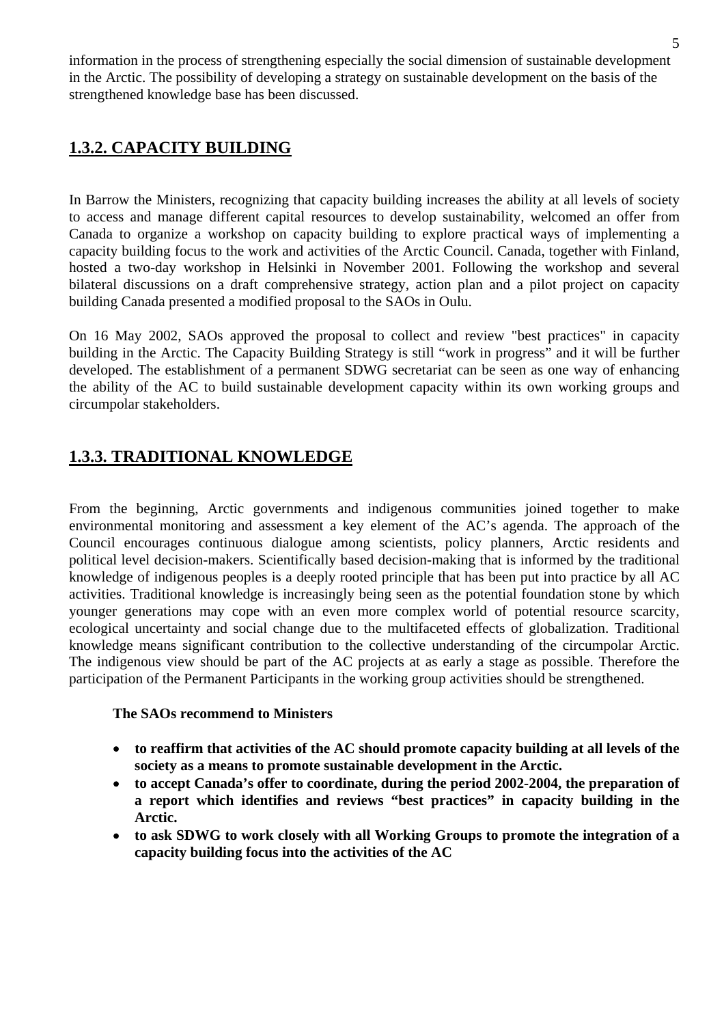information in the process of strengthening especially the social dimension of sustainable development in the Arctic. The possibility of developing a strategy on sustainable development on the basis of the strengthened knowledge base has been discussed.

# **1.3.2. CAPACITY BUILDING**

In Barrow the Ministers, recognizing that capacity building increases the ability at all levels of society to access and manage different capital resources to develop sustainability, welcomed an offer from Canada to organize a workshop on capacity building to explore practical ways of implementing a capacity building focus to the work and activities of the Arctic Council. Canada, together with Finland, hosted a two-day workshop in Helsinki in November 2001. Following the workshop and several bilateral discussions on a draft comprehensive strategy, action plan and a pilot project on capacity building Canada presented a modified proposal to the SAOs in Oulu.

On 16 May 2002, SAOs approved the proposal to collect and review "best practices" in capacity building in the Arctic. The Capacity Building Strategy is still "work in progress" and it will be further developed. The establishment of a permanent SDWG secretariat can be seen as one way of enhancing the ability of the AC to build sustainable development capacity within its own working groups and circumpolar stakeholders.

# **1.3.3. TRADITIONAL KNOWLEDGE**

From the beginning, Arctic governments and indigenous communities joined together to make environmental monitoring and assessment a key element of the AC's agenda. The approach of the Council encourages continuous dialogue among scientists, policy planners, Arctic residents and political level decision-makers. Scientifically based decision-making that is informed by the traditional knowledge of indigenous peoples is a deeply rooted principle that has been put into practice by all AC activities. Traditional knowledge is increasingly being seen as the potential foundation stone by which younger generations may cope with an even more complex world of potential resource scarcity, ecological uncertainty and social change due to the multifaceted effects of globalization. Traditional knowledge means significant contribution to the collective understanding of the circumpolar Arctic. The indigenous view should be part of the AC projects at as early a stage as possible. Therefore the participation of the Permanent Participants in the working group activities should be strengthened.

# **The SAOs recommend to Ministers**

- • **to reaffirm that activities of the AC should promote capacity building at all levels of the society as a means to promote sustainable development in the Arctic.**
- • **to accept Canada's offer to coordinate, during the period 2002-2004, the preparation of a report which identifies and reviews "best practices" in capacity building in the Arctic.**
- • **to ask SDWG to work closely with all Working Groups to promote the integration of a capacity building focus into the activities of the AC**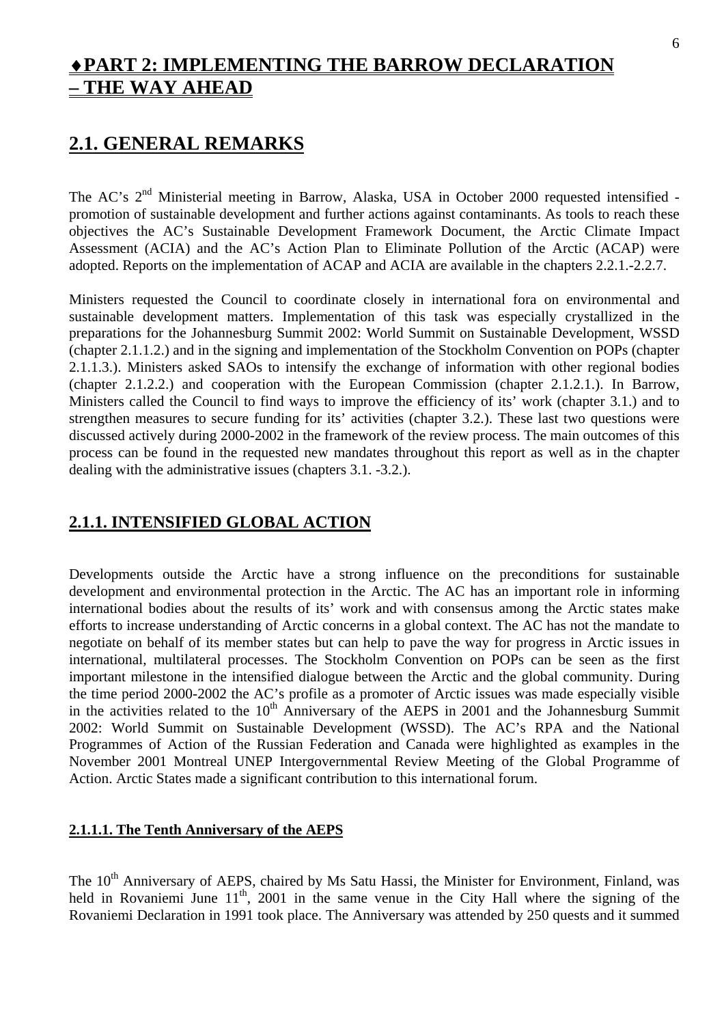# ♦**PART 2: IMPLEMENTING THE BARROW DECLARATION – THE WAY AHEAD**

# **2.1. GENERAL REMARKS**

The AC's 2<sup>nd</sup> Ministerial meeting in Barrow, Alaska, USA in October 2000 requested intensified promotion of sustainable development and further actions against contaminants. As tools to reach these objectives the AC's Sustainable Development Framework Document, the Arctic Climate Impact Assessment (ACIA) and the AC's Action Plan to Eliminate Pollution of the Arctic (ACAP) were adopted. Reports on the implementation of ACAP and ACIA are available in the chapters 2.2.1.-2.2.7.

Ministers requested the Council to coordinate closely in international fora on environmental and sustainable development matters. Implementation of this task was especially crystallized in the preparations for the Johannesburg Summit 2002: World Summit on Sustainable Development, WSSD (chapter 2.1.1.2.) and in the signing and implementation of the Stockholm Convention on POPs (chapter 2.1.1.3.). Ministers asked SAOs to intensify the exchange of information with other regional bodies (chapter 2.1.2.2.) and cooperation with the European Commission (chapter 2.1.2.1.). In Barrow, Ministers called the Council to find ways to improve the efficiency of its' work (chapter 3.1.) and to strengthen measures to secure funding for its' activities (chapter 3.2.). These last two questions were discussed actively during 2000-2002 in the framework of the review process. The main outcomes of this process can be found in the requested new mandates throughout this report as well as in the chapter dealing with the administrative issues (chapters 3.1. -3.2.).

# **2.1.1. INTENSIFIED GLOBAL ACTION**

Developments outside the Arctic have a strong influence on the preconditions for sustainable development and environmental protection in the Arctic. The AC has an important role in informing international bodies about the results of its' work and with consensus among the Arctic states make efforts to increase understanding of Arctic concerns in a global context. The AC has not the mandate to negotiate on behalf of its member states but can help to pave the way for progress in Arctic issues in international, multilateral processes. The Stockholm Convention on POPs can be seen as the first important milestone in the intensified dialogue between the Arctic and the global community. During the time period 2000-2002 the AC's profile as a promoter of Arctic issues was made especially visible in the activities related to the  $10<sup>th</sup>$  Anniversary of the AEPS in 2001 and the Johannesburg Summit 2002: World Summit on Sustainable Development (WSSD). The AC's RPA and the National Programmes of Action of the Russian Federation and Canada were highlighted as examples in the November 2001 Montreal UNEP Intergovernmental Review Meeting of the Global Programme of Action. Arctic States made a significant contribution to this international forum.

# **2.1.1.1. The Tenth Anniversary of the AEPS**

The 10<sup>th</sup> Anniversary of AEPS, chaired by Ms Satu Hassi, the Minister for Environment, Finland, was held in Rovaniemi June  $11<sup>th</sup>$ , 2001 in the same venue in the City Hall where the signing of the Rovaniemi Declaration in 1991 took place. The Anniversary was attended by 250 quests and it summed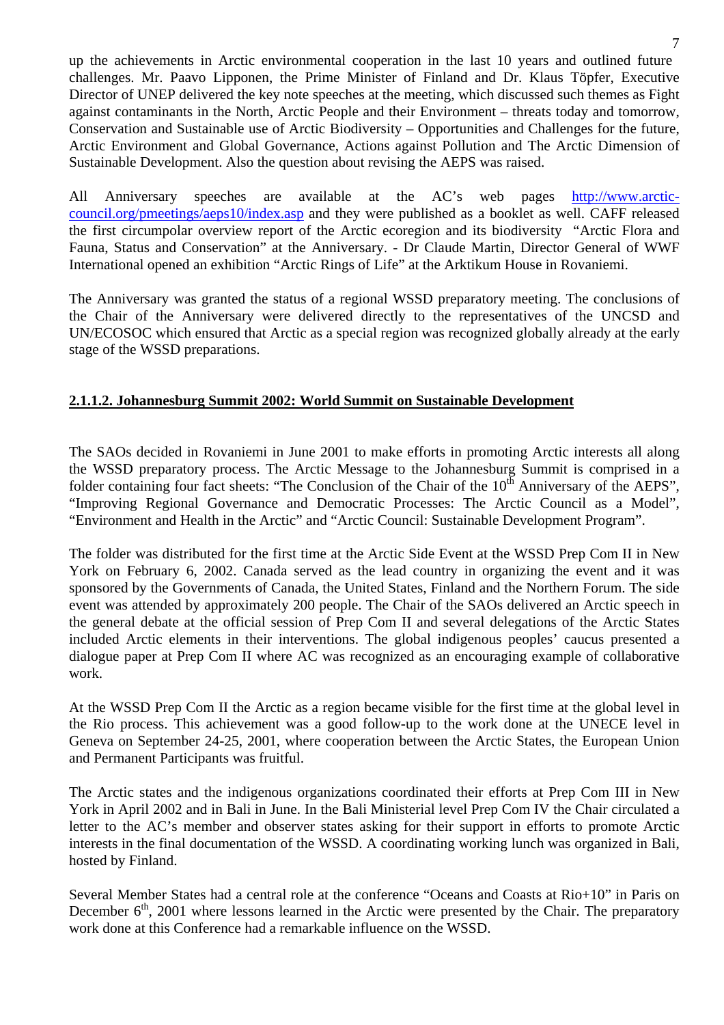up the achievements in Arctic environmental cooperation in the last 10 years and outlined future challenges. Mr. Paavo Lipponen, the Prime Minister of Finland and Dr. Klaus Töpfer, Executive Director of UNEP delivered the key note speeches at the meeting, which discussed such themes as Fight against contaminants in the North, Arctic People and their Environment – threats today and tomorrow, Conservation and Sustainable use of Arctic Biodiversity – Opportunities and Challenges for the future, Arctic Environment and Global Governance, Actions against Pollution and The Arctic Dimension of Sustainable Development. Also the question about revising the AEPS was raised.

All Anniversary speeches are available at the AC's web pages http://www.arcticcouncil.org/pmeetings/aeps10/index.asp and they were published as a booklet as well. CAFF released the first circumpolar overview report of the Arctic ecoregion and its biodiversity "Arctic Flora and Fauna, Status and Conservation" at the Anniversary. - Dr Claude Martin, Director General of WWF International opened an exhibition "Arctic Rings of Life" at the Arktikum House in Rovaniemi.

The Anniversary was granted the status of a regional WSSD preparatory meeting. The conclusions of the Chair of the Anniversary were delivered directly to the representatives of the UNCSD and UN/ECOSOC which ensured that Arctic as a special region was recognized globally already at the early stage of the WSSD preparations.

# **2.1.1.2. Johannesburg Summit 2002: World Summit on Sustainable Development**

The SAOs decided in Rovaniemi in June 2001 to make efforts in promoting Arctic interests all along the WSSD preparatory process. The Arctic Message to the Johannesburg Summit is comprised in a folder containing four fact sheets: "The Conclusion of the Chair of the 10<sup>th</sup> Anniversary of the AEPS", "Improving Regional Governance and Democratic Processes: The Arctic Council as a Model", "Environment and Health in the Arctic" and "Arctic Council: Sustainable Development Program".

The folder was distributed for the first time at the Arctic Side Event at the WSSD Prep Com II in New York on February 6, 2002. Canada served as the lead country in organizing the event and it was sponsored by the Governments of Canada, the United States, Finland and the Northern Forum. The side event was attended by approximately 200 people. The Chair of the SAOs delivered an Arctic speech in the general debate at the official session of Prep Com II and several delegations of the Arctic States included Arctic elements in their interventions. The global indigenous peoples' caucus presented a dialogue paper at Prep Com II where AC was recognized as an encouraging example of collaborative work.

At the WSSD Prep Com II the Arctic as a region became visible for the first time at the global level in the Rio process. This achievement was a good follow-up to the work done at the UNECE level in Geneva on September 24-25, 2001, where cooperation between the Arctic States, the European Union and Permanent Participants was fruitful.

The Arctic states and the indigenous organizations coordinated their efforts at Prep Com III in New York in April 2002 and in Bali in June. In the Bali Ministerial level Prep Com IV the Chair circulated a letter to the AC's member and observer states asking for their support in efforts to promote Arctic interests in the final documentation of the WSSD. A coordinating working lunch was organized in Bali, hosted by Finland.

Several Member States had a central role at the conference "Oceans and Coasts at Rio+10" in Paris on December  $6<sup>th</sup>$ , 2001 where lessons learned in the Arctic were presented by the Chair. The preparatory work done at this Conference had a remarkable influence on the WSSD.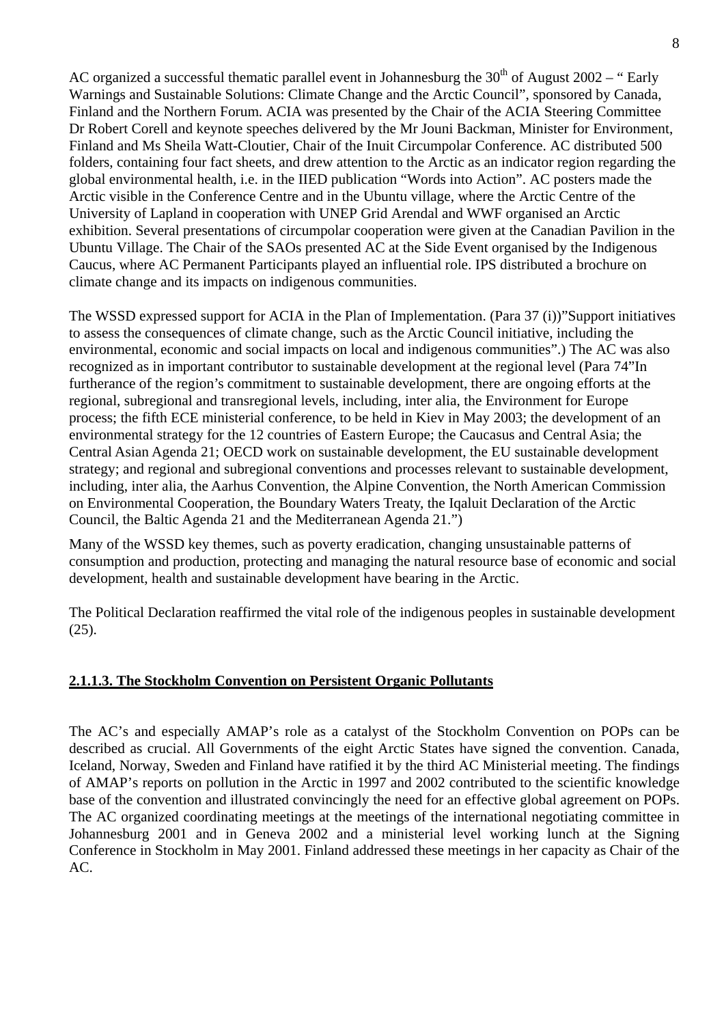AC organized a successful thematic parallel event in Johannesburg the  $30<sup>th</sup>$  of August 2002 – "Early Warnings and Sustainable Solutions: Climate Change and the Arctic Council", sponsored by Canada, Finland and the Northern Forum. ACIA was presented by the Chair of the ACIA Steering Committee Dr Robert Corell and keynote speeches delivered by the Mr Jouni Backman, Minister for Environment, Finland and Ms Sheila Watt-Cloutier, Chair of the Inuit Circumpolar Conference. AC distributed 500 folders, containing four fact sheets, and drew attention to the Arctic as an indicator region regarding the global environmental health, i.e. in the IIED publication "Words into Action". AC posters made the Arctic visible in the Conference Centre and in the Ubuntu village, where the Arctic Centre of the University of Lapland in cooperation with UNEP Grid Arendal and WWF organised an Arctic exhibition. Several presentations of circumpolar cooperation were given at the Canadian Pavilion in the Ubuntu Village. The Chair of the SAOs presented AC at the Side Event organised by the Indigenous Caucus, where AC Permanent Participants played an influential role. IPS distributed a brochure on climate change and its impacts on indigenous communities.

The WSSD expressed support for ACIA in the Plan of Implementation. (Para 37 (i))"Support initiatives to assess the consequences of climate change, such as the Arctic Council initiative, including the environmental, economic and social impacts on local and indigenous communities".) The AC was also recognized as in important contributor to sustainable development at the regional level (Para 74"In furtherance of the region's commitment to sustainable development, there are ongoing efforts at the regional, subregional and transregional levels, including, inter alia, the Environment for Europe process; the fifth ECE ministerial conference, to be held in Kiev in May 2003; the development of an environmental strategy for the 12 countries of Eastern Europe; the Caucasus and Central Asia; the Central Asian Agenda 21; OECD work on sustainable development, the EU sustainable development strategy; and regional and subregional conventions and processes relevant to sustainable development, including, inter alia, the Aarhus Convention, the Alpine Convention, the North American Commission on Environmental Cooperation, the Boundary Waters Treaty, the Iqaluit Declaration of the Arctic Council, the Baltic Agenda 21 and the Mediterranean Agenda 21.")

Many of the WSSD key themes, such as poverty eradication, changing unsustainable patterns of consumption and production, protecting and managing the natural resource base of economic and social development, health and sustainable development have bearing in the Arctic.

The Political Declaration reaffirmed the vital role of the indigenous peoples in sustainable development (25).

# **2.1.1.3. The Stockholm Convention on Persistent Organic Pollutants**

The AC's and especially AMAP's role as a catalyst of the Stockholm Convention on POPs can be described as crucial. All Governments of the eight Arctic States have signed the convention. Canada, Iceland, Norway, Sweden and Finland have ratified it by the third AC Ministerial meeting. The findings of AMAP's reports on pollution in the Arctic in 1997 and 2002 contributed to the scientific knowledge base of the convention and illustrated convincingly the need for an effective global agreement on POPs. The AC organized coordinating meetings at the meetings of the international negotiating committee in Johannesburg 2001 and in Geneva 2002 and a ministerial level working lunch at the Signing Conference in Stockholm in May 2001. Finland addressed these meetings in her capacity as Chair of the AC.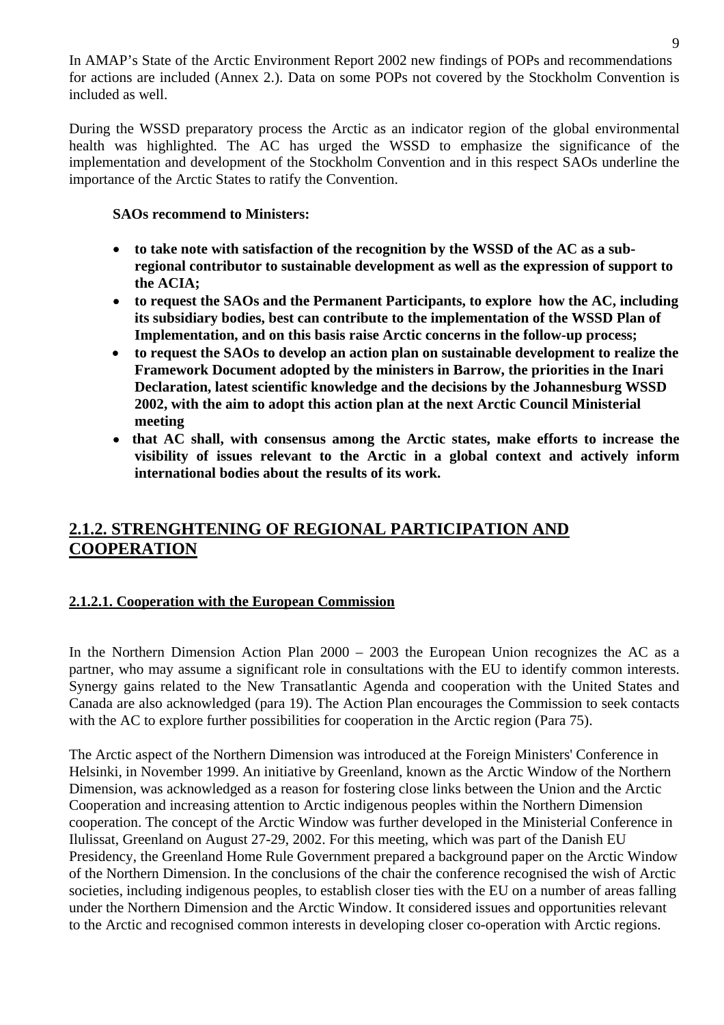In AMAP's State of the Arctic Environment Report 2002 new findings of POPs and recommendations for actions are included (Annex 2.). Data on some POPs not covered by the Stockholm Convention is included as well.

During the WSSD preparatory process the Arctic as an indicator region of the global environmental health was highlighted. The AC has urged the WSSD to emphasize the significance of the implementation and development of the Stockholm Convention and in this respect SAOs underline the importance of the Arctic States to ratify the Convention.

#### **SAOs recommend to Ministers:**

- to take note with satisfaction of the recognition by the WSSD of the AC as a sub**regional contributor to sustainable development as well as the expression of support to the ACIA;**
- • **to request the SAOs and the Permanent Participants, to explore how the AC, including its subsidiary bodies, best can contribute to the implementation of the WSSD Plan of Implementation, and on this basis raise Arctic concerns in the follow-up process;**
- **to request the SAOs to develop an action plan on sustainable development to realize the Framework Document adopted by the ministers in Barrow, the priorities in the Inari Declaration, latest scientific knowledge and the decisions by the Johannesburg WSSD 2002, with the aim to adopt this action plan at the next Arctic Council Ministerial meeting**
- • **that AC shall, with consensus among the Arctic states, make efforts to increase the visibility of issues relevant to the Arctic in a global context and actively inform international bodies about the results of its work.**

# **2.1.2. STRENGHTENING OF REGIONAL PARTICIPATION AND COOPERATION**

# **2.1.2.1. Cooperation with the European Commission**

In the Northern Dimension Action Plan 2000 – 2003 the European Union recognizes the AC as a partner, who may assume a significant role in consultations with the EU to identify common interests. Synergy gains related to the New Transatlantic Agenda and cooperation with the United States and Canada are also acknowledged (para 19). The Action Plan encourages the Commission to seek contacts with the AC to explore further possibilities for cooperation in the Arctic region (Para 75).

The Arctic aspect of the Northern Dimension was introduced at the Foreign Ministers' Conference in Helsinki, in November 1999. An initiative by Greenland, known as the Arctic Window of the Northern Dimension, was acknowledged as a reason for fostering close links between the Union and the Arctic Cooperation and increasing attention to Arctic indigenous peoples within the Northern Dimension cooperation. The concept of the Arctic Window was further developed in the Ministerial Conference in Ilulissat, Greenland on August 27-29, 2002. For this meeting, which was part of the Danish EU Presidency, the Greenland Home Rule Government prepared a background paper on the Arctic Window of the Northern Dimension. In the conclusions of the chair the conference recognised the wish of Arctic societies, including indigenous peoples, to establish closer ties with the EU on a number of areas falling under the Northern Dimension and the Arctic Window. It considered issues and opportunities relevant to the Arctic and recognised common interests in developing closer co-operation with Arctic regions.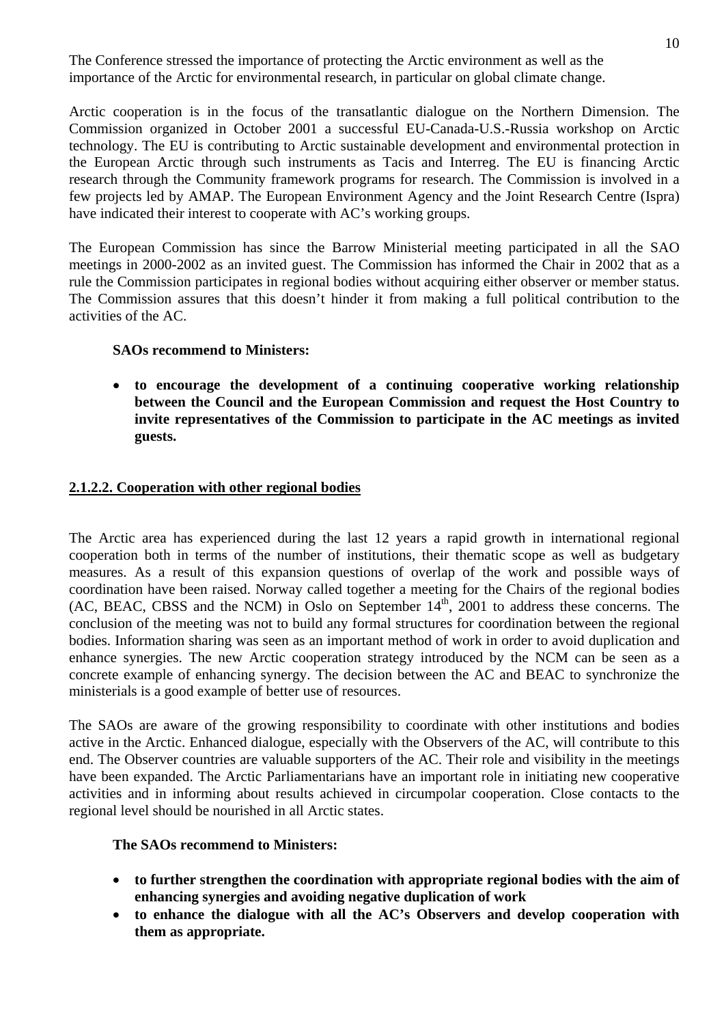The Conference stressed the importance of protecting the Arctic environment as well as the importance of the Arctic for environmental research, in particular on global climate change.

Arctic cooperation is in the focus of the transatlantic dialogue on the Northern Dimension. The Commission organized in October 2001 a successful EU-Canada-U.S.-Russia workshop on Arctic technology. The EU is contributing to Arctic sustainable development and environmental protection in the European Arctic through such instruments as Tacis and Interreg. The EU is financing Arctic research through the Community framework programs for research. The Commission is involved in a few projects led by AMAP. The European Environment Agency and the Joint Research Centre (Ispra) have indicated their interest to cooperate with AC's working groups.

The European Commission has since the Barrow Ministerial meeting participated in all the SAO meetings in 2000-2002 as an invited guest. The Commission has informed the Chair in 2002 that as a rule the Commission participates in regional bodies without acquiring either observer or member status. The Commission assures that this doesn't hinder it from making a full political contribution to the activities of the AC.

#### **SAOs recommend to Ministers:**

• **to encourage the development of a continuing cooperative working relationship between the Council and the European Commission and request the Host Country to invite representatives of the Commission to participate in the AC meetings as invited guests.** 

# **2.1.2.2. Cooperation with other regional bodies**

The Arctic area has experienced during the last 12 years a rapid growth in international regional cooperation both in terms of the number of institutions, their thematic scope as well as budgetary measures. As a result of this expansion questions of overlap of the work and possible ways of coordination have been raised. Norway called together a meeting for the Chairs of the regional bodies (AC, BEAC, CBSS and the NCM) in Oslo on September  $14<sup>th</sup>$ , 2001 to address these concerns. The conclusion of the meeting was not to build any formal structures for coordination between the regional bodies. Information sharing was seen as an important method of work in order to avoid duplication and enhance synergies. The new Arctic cooperation strategy introduced by the NCM can be seen as a concrete example of enhancing synergy. The decision between the AC and BEAC to synchronize the ministerials is a good example of better use of resources.

The SAOs are aware of the growing responsibility to coordinate with other institutions and bodies active in the Arctic. Enhanced dialogue, especially with the Observers of the AC, will contribute to this end. The Observer countries are valuable supporters of the AC. Their role and visibility in the meetings have been expanded. The Arctic Parliamentarians have an important role in initiating new cooperative activities and in informing about results achieved in circumpolar cooperation. Close contacts to the regional level should be nourished in all Arctic states.

# **The SAOs recommend to Ministers:**

- **to further strengthen the coordination with appropriate regional bodies with the aim of enhancing synergies and avoiding negative duplication of work**
- **to enhance the dialogue with all the AC's Observers and develop cooperation with them as appropriate.**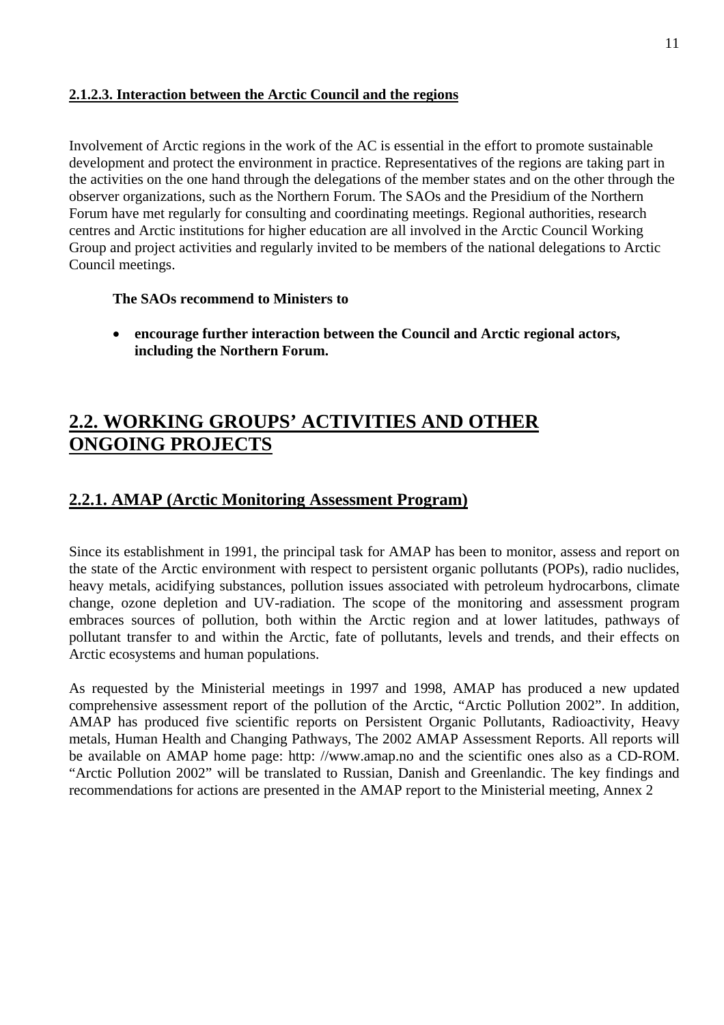# **2.1.2.3. Interaction between the Arctic Council and the regions**

Involvement of Arctic regions in the work of the AC is essential in the effort to promote sustainable development and protect the environment in practice. Representatives of the regions are taking part in the activities on the one hand through the delegations of the member states and on the other through the observer organizations, such as the Northern Forum. The SAOs and the Presidium of the Northern Forum have met regularly for consulting and coordinating meetings. Regional authorities, research centres and Arctic institutions for higher education are all involved in the Arctic Council Working Group and project activities and regularly invited to be members of the national delegations to Arctic Council meetings.

# **The SAOs recommend to Ministers to**

• **encourage further interaction between the Council and Arctic regional actors, including the Northern Forum.** 

# **2.2. WORKING GROUPS' ACTIVITIES AND OTHER ONGOING PROJECTS**

# **2.2.1. AMAP (Arctic Monitoring Assessment Program)**

Since its establishment in 1991, the principal task for AMAP has been to monitor, assess and report on the state of the Arctic environment with respect to persistent organic pollutants (POPs), radio nuclides, heavy metals, acidifying substances, pollution issues associated with petroleum hydrocarbons, climate change, ozone depletion and UV-radiation. The scope of the monitoring and assessment program embraces sources of pollution, both within the Arctic region and at lower latitudes, pathways of pollutant transfer to and within the Arctic, fate of pollutants, levels and trends, and their effects on Arctic ecosystems and human populations.

As requested by the Ministerial meetings in 1997 and 1998, AMAP has produced a new updated comprehensive assessment report of the pollution of the Arctic, "Arctic Pollution 2002". In addition, AMAP has produced five scientific reports on Persistent Organic Pollutants, Radioactivity, Heavy metals, Human Health and Changing Pathways, The 2002 AMAP Assessment Reports. All reports will be available on AMAP home page: http: //www.amap.no and the scientific ones also as a CD-ROM. "Arctic Pollution 2002" will be translated to Russian, Danish and Greenlandic. The key findings and recommendations for actions are presented in the AMAP report to the Ministerial meeting, Annex 2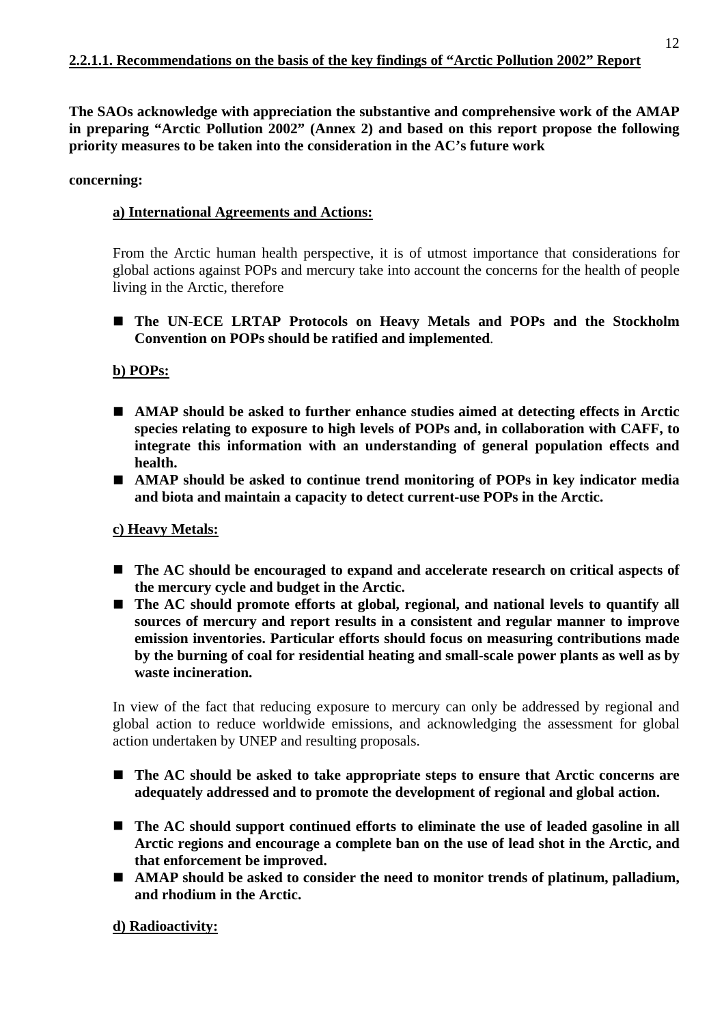**The SAOs acknowledge with appreciation the substantive and comprehensive work of the AMAP in preparing "Arctic Pollution 2002" (Annex 2) and based on this report propose the following priority measures to be taken into the consideration in the AC's future work** 

#### **concerning:**

# **a) International Agreements and Actions:**

From the Arctic human health perspective, it is of utmost importance that considerations for global actions against POPs and mercury take into account the concerns for the health of people living in the Arctic, therefore

! **The UN-ECE LRTAP Protocols on Heavy Metals and POPs and the Stockholm Convention on POPs should be ratified and implemented**.

#### **b) POPs:**

- ! **AMAP should be asked to further enhance studies aimed at detecting effects in Arctic species relating to exposure to high levels of POPs and, in collaboration with CAFF, to integrate this information with an understanding of general population effects and health.**
- ! **AMAP should be asked to continue trend monitoring of POPs in key indicator media and biota and maintain a capacity to detect current-use POPs in the Arctic.**

#### **c) Heavy Metals:**

- The AC should be encouraged to expand and accelerate research on critical aspects of **the mercury cycle and budget in the Arctic.**
- The AC should promote efforts at global, regional, and national levels to quantify all **sources of mercury and report results in a consistent and regular manner to improve emission inventories. Particular efforts should focus on measuring contributions made by the burning of coal for residential heating and small-scale power plants as well as by waste incineration.**

In view of the fact that reducing exposure to mercury can only be addressed by regional and global action to reduce worldwide emissions, and acknowledging the assessment for global action undertaken by UNEP and resulting proposals.

- ! **The AC should be asked to take appropriate steps to ensure that Arctic concerns are adequately addressed and to promote the development of regional and global action.**
- The AC should support continued efforts to eliminate the use of leaded gasoline in all **Arctic regions and encourage a complete ban on the use of lead shot in the Arctic, and that enforcement be improved.**
- ! **AMAP should be asked to consider the need to monitor trends of platinum, palladium, and rhodium in the Arctic.**

# **d) Radioactivity:**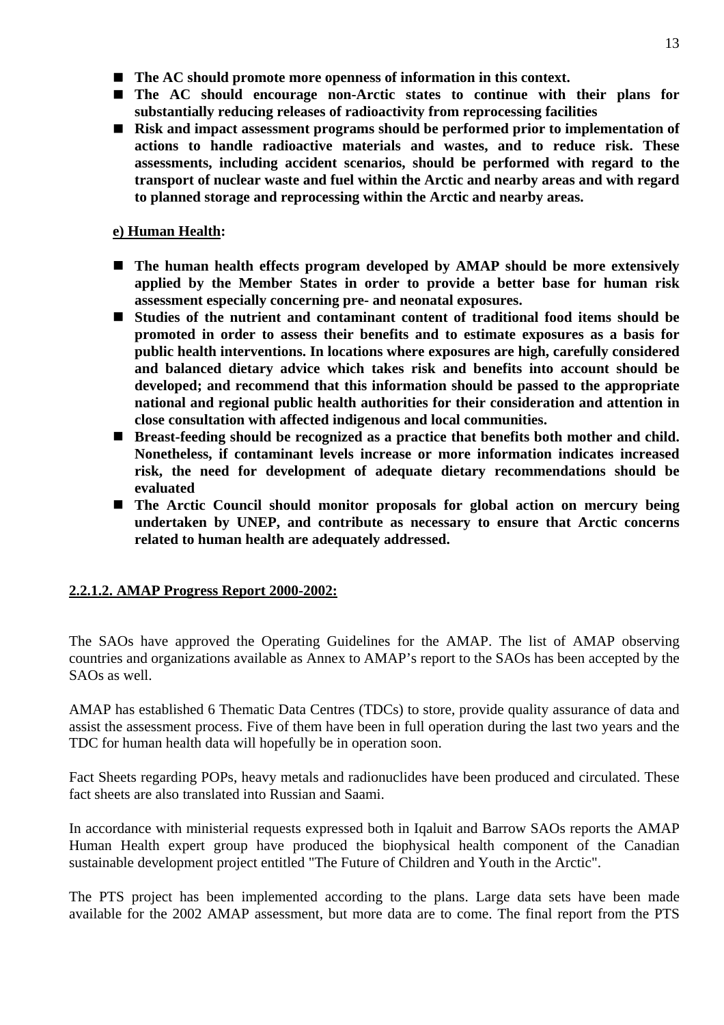- ! **The AC should promote more openness of information in this context.**
- ! **The AC should encourage non-Arctic states to continue with their plans for substantially reducing releases of radioactivity from reprocessing facilities**
- Risk and impact assessment programs should be performed prior to implementation of **actions to handle radioactive materials and wastes, and to reduce risk. These assessments, including accident scenarios, should be performed with regard to the transport of nuclear waste and fuel within the Arctic and nearby areas and with regard to planned storage and reprocessing within the Arctic and nearby areas.**

# **e) Human Health:**

- ! **The human health effects program developed by AMAP should be more extensively applied by the Member States in order to provide a better base for human risk assessment especially concerning pre- and neonatal exposures.**
- ! **Studies of the nutrient and contaminant content of traditional food items should be promoted in order to assess their benefits and to estimate exposures as a basis for public health interventions. In locations where exposures are high, carefully considered and balanced dietary advice which takes risk and benefits into account should be developed; and recommend that this information should be passed to the appropriate national and regional public health authorities for their consideration and attention in close consultation with affected indigenous and local communities.**
- ! **Breast-feeding should be recognized as a practice that benefits both mother and child. Nonetheless, if contaminant levels increase or more information indicates increased risk, the need for development of adequate dietary recommendations should be evaluated**
- ! **The Arctic Council should monitor proposals for global action on mercury being undertaken by UNEP, and contribute as necessary to ensure that Arctic concerns related to human health are adequately addressed.**

# **2.2.1.2. AMAP Progress Report 2000-2002:**

The SAOs have approved the Operating Guidelines for the AMAP. The list of AMAP observing countries and organizations available as Annex to AMAP's report to the SAOs has been accepted by the SAOs as well.

AMAP has established 6 Thematic Data Centres (TDCs) to store, provide quality assurance of data and assist the assessment process. Five of them have been in full operation during the last two years and the TDC for human health data will hopefully be in operation soon.

Fact Sheets regarding POPs, heavy metals and radionuclides have been produced and circulated. These fact sheets are also translated into Russian and Saami.

In accordance with ministerial requests expressed both in Iqaluit and Barrow SAOs reports the AMAP Human Health expert group have produced the biophysical health component of the Canadian sustainable development project entitled "The Future of Children and Youth in the Arctic".

The PTS project has been implemented according to the plans. Large data sets have been made available for the 2002 AMAP assessment, but more data are to come. The final report from the PTS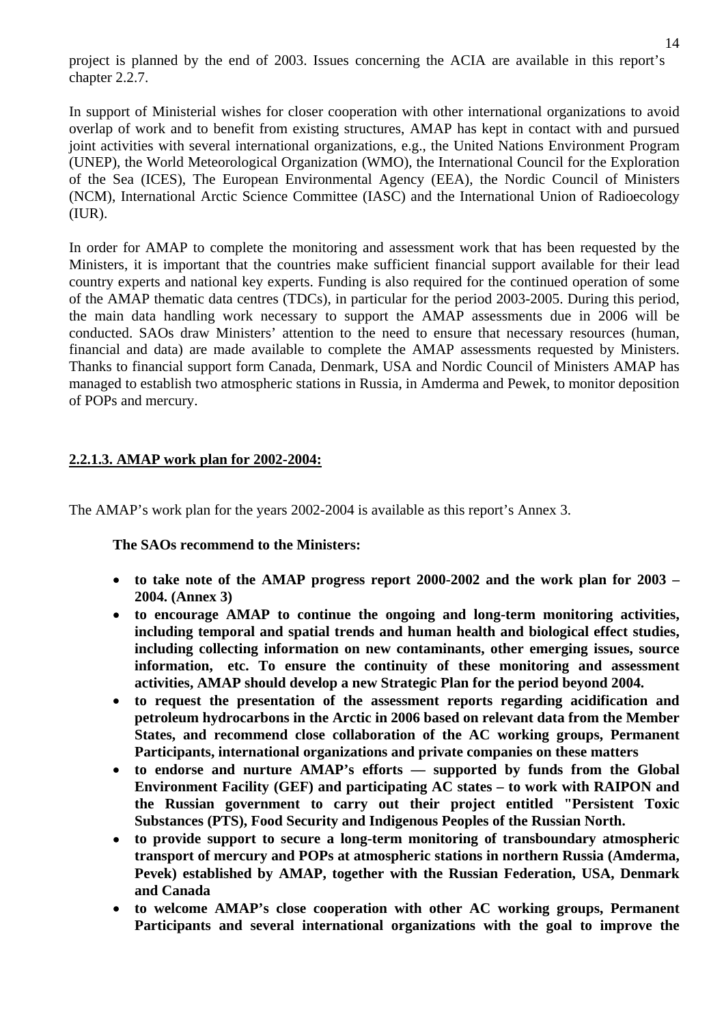project is planned by the end of 2003. Issues concerning the ACIA are available in this report's chapter 2.2.7.

In support of Ministerial wishes for closer cooperation with other international organizations to avoid overlap of work and to benefit from existing structures, AMAP has kept in contact with and pursued joint activities with several international organizations, e.g., the United Nations Environment Program (UNEP), the World Meteorological Organization (WMO), the International Council for the Exploration of the Sea (ICES), The European Environmental Agency (EEA), the Nordic Council of Ministers (NCM), International Arctic Science Committee (IASC) and the International Union of Radioecology (IUR).

In order for AMAP to complete the monitoring and assessment work that has been requested by the Ministers, it is important that the countries make sufficient financial support available for their lead country experts and national key experts. Funding is also required for the continued operation of some of the AMAP thematic data centres (TDCs), in particular for the period 2003-2005. During this period, the main data handling work necessary to support the AMAP assessments due in 2006 will be conducted. SAOs draw Ministers' attention to the need to ensure that necessary resources (human, financial and data) are made available to complete the AMAP assessments requested by Ministers. Thanks to financial support form Canada, Denmark, USA and Nordic Council of Ministers AMAP has managed to establish two atmospheric stations in Russia, in Amderma and Pewek, to monitor deposition of POPs and mercury.

# **2.2.1.3. AMAP work plan for 2002-2004:**

The AMAP's work plan for the years 2002-2004 is available as this report's Annex 3.

# **The SAOs recommend to the Ministers:**

- to take note of the AMAP progress report 2000-2002 and the work plan for 2003 **2004. (Annex 3)**
- • **to encourage AMAP to continue the ongoing and long-term monitoring activities, including temporal and spatial trends and human health and biological effect studies, including collecting information on new contaminants, other emerging issues, source information, etc. To ensure the continuity of these monitoring and assessment activities, AMAP should develop a new Strategic Plan for the period beyond 2004.**
- **to request the presentation of the assessment reports regarding acidification and petroleum hydrocarbons in the Arctic in 2006 based on relevant data from the Member States, and recommend close collaboration of the AC working groups, Permanent Participants, international organizations and private companies on these matters**
- **to endorse and nurture AMAP's efforts supported by funds from the Global Environment Facility (GEF) and participating AC states – to work with RAIPON and the Russian government to carry out their project entitled "Persistent Toxic Substances (PTS), Food Security and Indigenous Peoples of the Russian North.**
- • **to provide support to secure a long-term monitoring of transboundary atmospheric transport of mercury and POPs at atmospheric stations in northern Russia (Amderma, Pevek) established by AMAP, together with the Russian Federation, USA, Denmark and Canada**
- • **to welcome AMAP's close cooperation with other AC working groups, Permanent Participants and several international organizations with the goal to improve the**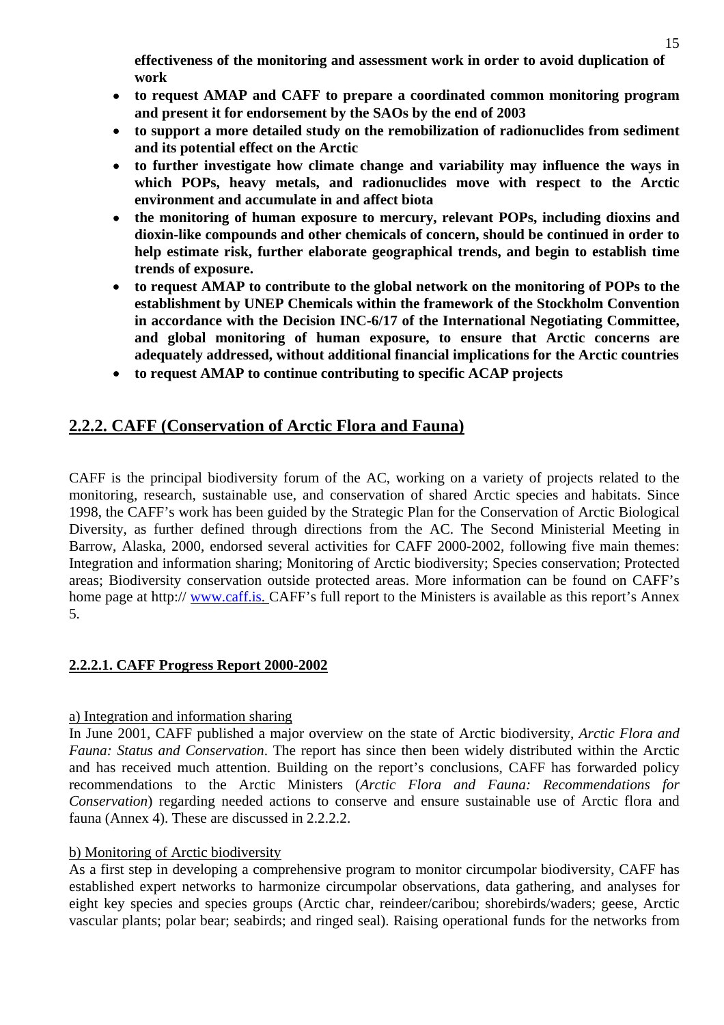**effectiveness of the monitoring and assessment work in order to avoid duplication of work** 

- • **to request AMAP and CAFF to prepare a coordinated common monitoring program and present it for endorsement by the SAOs by the end of 2003**
- • **to support a more detailed study on the remobilization of radionuclides from sediment and its potential effect on the Arctic**
- • **to further investigate how climate change and variability may influence the ways in which POPs, heavy metals, and radionuclides move with respect to the Arctic environment and accumulate in and affect biota**
- • **the monitoring of human exposure to mercury, relevant POPs, including dioxins and dioxin-like compounds and other chemicals of concern, should be continued in order to help estimate risk, further elaborate geographical trends, and begin to establish time trends of exposure.**
- **to request AMAP to contribute to the global network on the monitoring of POPs to the establishment by UNEP Chemicals within the framework of the Stockholm Convention in accordance with the Decision INC-6/17 of the International Negotiating Committee, and global monitoring of human exposure, to ensure that Arctic concerns are adequately addressed, without additional financial implications for the Arctic countries**
- • **to request AMAP to continue contributing to specific ACAP projects**

# **2.2.2. CAFF (Conservation of Arctic Flora and Fauna)**

CAFF is the principal biodiversity forum of the AC, working on a variety of projects related to the monitoring, research, sustainable use, and conservation of shared Arctic species and habitats. Since 1998, the CAFF's work has been guided by the Strategic Plan for the Conservation of Arctic Biological Diversity, as further defined through directions from the AC. The Second Ministerial Meeting in Barrow, Alaska, 2000, endorsed several activities for CAFF 2000-2002, following five main themes: Integration and information sharing; Monitoring of Arctic biodiversity; Species conservation; Protected areas; Biodiversity conservation outside protected areas. More information can be found on CAFF's home page at http:// www.caff.is. CAFF's full report to the Ministers is available as this report's Annex 5.

# **2.2.2.1. CAFF Progress Report 2000-2002**

# a) Integration and information sharing

In June 2001, CAFF published a major overview on the state of Arctic biodiversity, *Arctic Flora and Fauna: Status and Conservation*. The report has since then been widely distributed within the Arctic and has received much attention. Building on the report's conclusions, CAFF has forwarded policy recommendations to the Arctic Ministers (*Arctic Flora and Fauna: Recommendations for Conservation*) regarding needed actions to conserve and ensure sustainable use of Arctic flora and fauna (Annex 4). These are discussed in 2.2.2.2.

# b) Monitoring of Arctic biodiversity

As a first step in developing a comprehensive program to monitor circumpolar biodiversity, CAFF has established expert networks to harmonize circumpolar observations, data gathering, and analyses for eight key species and species groups (Arctic char, reindeer/caribou; shorebirds/waders; geese, Arctic vascular plants; polar bear; seabirds; and ringed seal). Raising operational funds for the networks from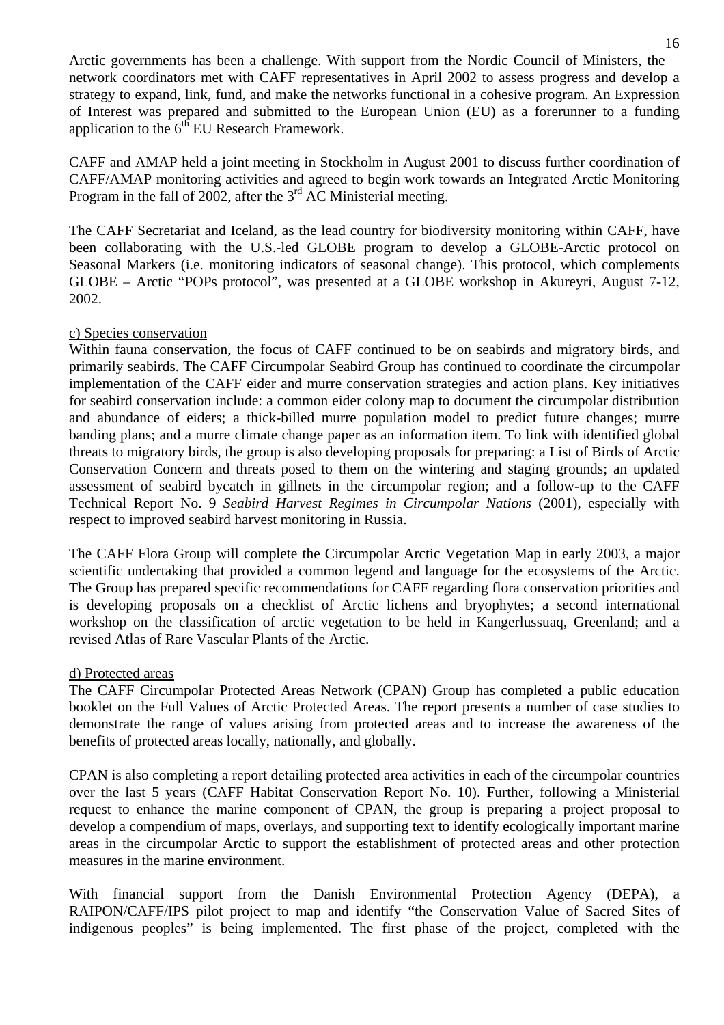Arctic governments has been a challenge. With support from the Nordic Council of Ministers, the network coordinators met with CAFF representatives in April 2002 to assess progress and develop a strategy to expand, link, fund, and make the networks functional in a cohesive program. An Expression of Interest was prepared and submitted to the European Union (EU) as a forerunner to a funding application to the  $6<sup>th</sup>$  EU Research Framework.

CAFF and AMAP held a joint meeting in Stockholm in August 2001 to discuss further coordination of CAFF/AMAP monitoring activities and agreed to begin work towards an Integrated Arctic Monitoring Program in the fall of 2002, after the  $3<sup>rd</sup>$  AC Ministerial meeting.

The CAFF Secretariat and Iceland, as the lead country for biodiversity monitoring within CAFF, have been collaborating with the U.S.-led GLOBE program to develop a GLOBE-Arctic protocol on Seasonal Markers (i.e. monitoring indicators of seasonal change). This protocol, which complements GLOBE – Arctic "POPs protocol", was presented at a GLOBE workshop in Akureyri, August 7-12, 2002.

#### c) Species conservation

Within fauna conservation, the focus of CAFF continued to be on seabirds and migratory birds, and primarily seabirds. The CAFF Circumpolar Seabird Group has continued to coordinate the circumpolar implementation of the CAFF eider and murre conservation strategies and action plans. Key initiatives for seabird conservation include: a common eider colony map to document the circumpolar distribution and abundance of eiders; a thick-billed murre population model to predict future changes; murre banding plans; and a murre climate change paper as an information item. To link with identified global threats to migratory birds, the group is also developing proposals for preparing: a List of Birds of Arctic Conservation Concern and threats posed to them on the wintering and staging grounds; an updated assessment of seabird bycatch in gillnets in the circumpolar region; and a follow-up to the CAFF Technical Report No. 9 *Seabird Harvest Regimes in Circumpolar Nations* (2001), especially with respect to improved seabird harvest monitoring in Russia.

The CAFF Flora Group will complete the Circumpolar Arctic Vegetation Map in early 2003, a major scientific undertaking that provided a common legend and language for the ecosystems of the Arctic. The Group has prepared specific recommendations for CAFF regarding flora conservation priorities and is developing proposals on a checklist of Arctic lichens and bryophytes; a second international workshop on the classification of arctic vegetation to be held in Kangerlussuaq, Greenland; and a revised Atlas of Rare Vascular Plants of the Arctic.

#### d) Protected areas

The CAFF Circumpolar Protected Areas Network (CPAN) Group has completed a public education booklet on the Full Values of Arctic Protected Areas. The report presents a number of case studies to demonstrate the range of values arising from protected areas and to increase the awareness of the benefits of protected areas locally, nationally, and globally.

CPAN is also completing a report detailing protected area activities in each of the circumpolar countries over the last 5 years (CAFF Habitat Conservation Report No. 10). Further, following a Ministerial request to enhance the marine component of CPAN, the group is preparing a project proposal to develop a compendium of maps, overlays, and supporting text to identify ecologically important marine areas in the circumpolar Arctic to support the establishment of protected areas and other protection measures in the marine environment.

With financial support from the Danish Environmental Protection Agency (DEPA), a RAIPON/CAFF/IPS pilot project to map and identify "the Conservation Value of Sacred Sites of indigenous peoples" is being implemented. The first phase of the project, completed with the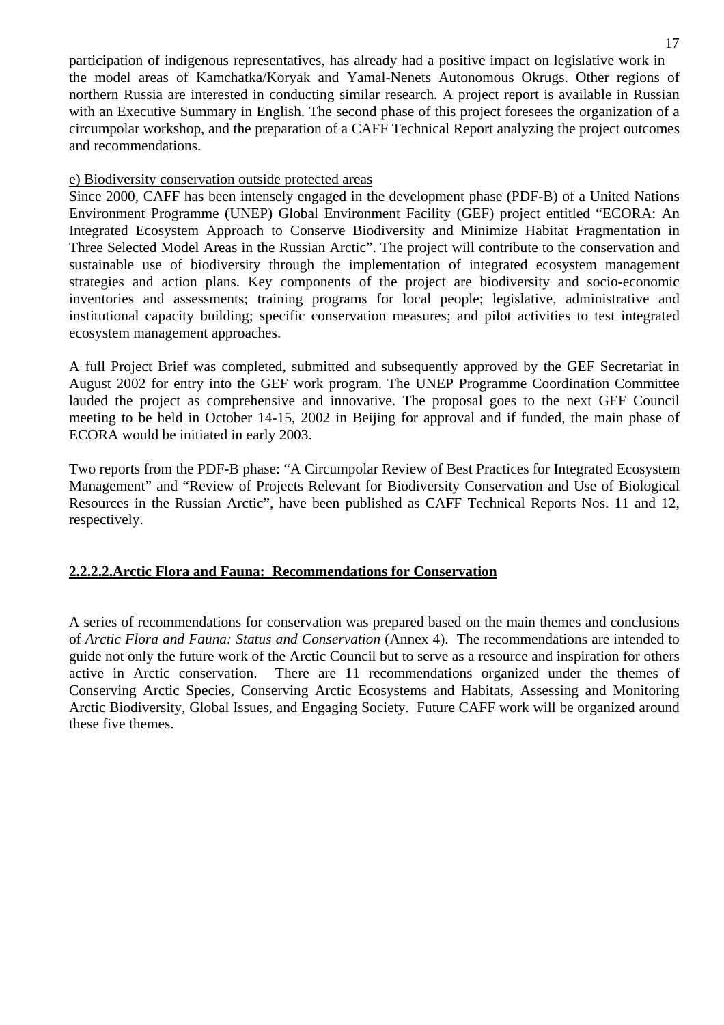participation of indigenous representatives, has already had a positive impact on legislative work in the model areas of Kamchatka/Koryak and Yamal-Nenets Autonomous Okrugs. Other regions of northern Russia are interested in conducting similar research. A project report is available in Russian with an Executive Summary in English. The second phase of this project foresees the organization of a circumpolar workshop, and the preparation of a CAFF Technical Report analyzing the project outcomes and recommendations.

#### e) Biodiversity conservation outside protected areas

Since 2000, CAFF has been intensely engaged in the development phase (PDF-B) of a United Nations Environment Programme (UNEP) Global Environment Facility (GEF) project entitled "ECORA: An Integrated Ecosystem Approach to Conserve Biodiversity and Minimize Habitat Fragmentation in Three Selected Model Areas in the Russian Arctic". The project will contribute to the conservation and sustainable use of biodiversity through the implementation of integrated ecosystem management strategies and action plans. Key components of the project are biodiversity and socio-economic inventories and assessments; training programs for local people; legislative, administrative and institutional capacity building; specific conservation measures; and pilot activities to test integrated ecosystem management approaches.

A full Project Brief was completed, submitted and subsequently approved by the GEF Secretariat in August 2002 for entry into the GEF work program. The UNEP Programme Coordination Committee lauded the project as comprehensive and innovative. The proposal goes to the next GEF Council meeting to be held in October 14-15, 2002 in Beijing for approval and if funded, the main phase of ECORA would be initiated in early 2003.

Two reports from the PDF-B phase: "A Circumpolar Review of Best Practices for Integrated Ecosystem Management" and "Review of Projects Relevant for Biodiversity Conservation and Use of Biological Resources in the Russian Arctic", have been published as CAFF Technical Reports Nos. 11 and 12, respectively.

#### **2.2.2.2.Arctic Flora and Fauna: Recommendations for Conservation**

A series of recommendations for conservation was prepared based on the main themes and conclusions of *Arctic Flora and Fauna: Status and Conservation* (Annex 4). The recommendations are intended to guide not only the future work of the Arctic Council but to serve as a resource and inspiration for others active in Arctic conservation. There are 11 recommendations organized under the themes of Conserving Arctic Species, Conserving Arctic Ecosystems and Habitats, Assessing and Monitoring Arctic Biodiversity, Global Issues, and Engaging Society. Future CAFF work will be organized around these five themes.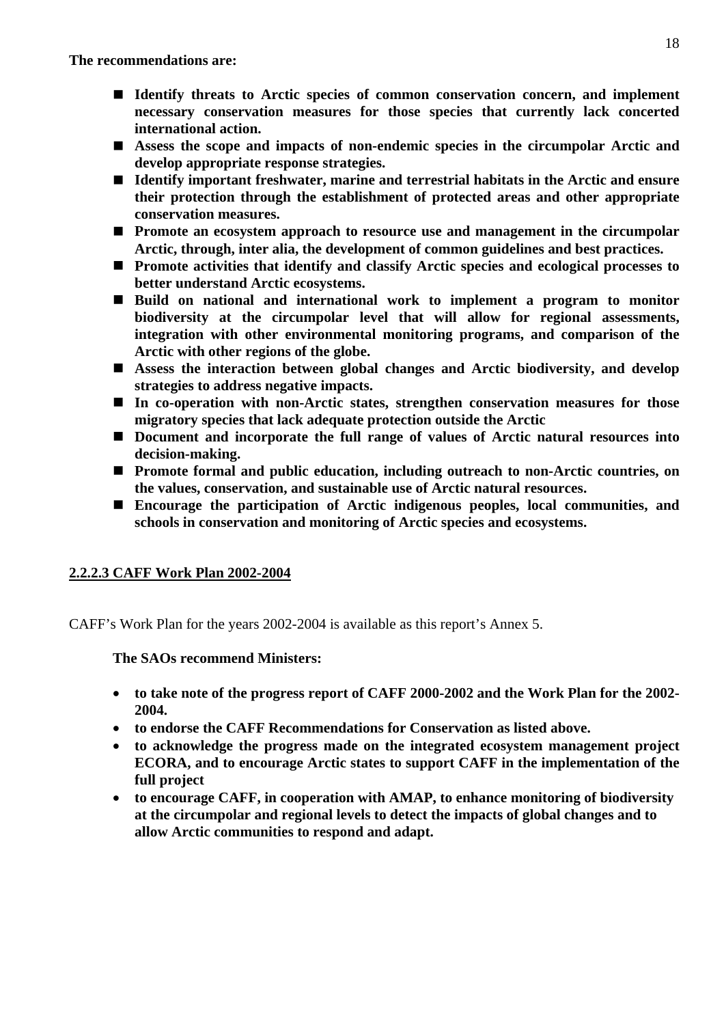- Identify threats to Arctic species of common conservation concern, and implement **necessary conservation measures for those species that currently lack concerted international action.**
- ! **Assess the scope and impacts of non-endemic species in the circumpolar Arctic and develop appropriate response strategies.**
- Identify important freshwater, marine and terrestrial habitats in the Arctic and ensure **their protection through the establishment of protected areas and other appropriate conservation measures.**
- ! **Promote an ecosystem approach to resource use and management in the circumpolar Arctic, through, inter alia, the development of common guidelines and best practices.**
- Promote activities that identify and classify Arctic species and ecological processes to **better understand Arctic ecosystems.**
- ! **Build on national and international work to implement a program to monitor biodiversity at the circumpolar level that will allow for regional assessments, integration with other environmental monitoring programs, and comparison of the Arctic with other regions of the globe.**
- ! **Assess the interaction between global changes and Arctic biodiversity, and develop strategies to address negative impacts.**
- In co-operation with non-Arctic states, strengthen conservation measures for those **migratory species that lack adequate protection outside the Arctic**
- ! **Document and incorporate the full range of values of Arctic natural resources into decision-making.**
- ! **Promote formal and public education, including outreach to non-Arctic countries, on the values, conservation, and sustainable use of Arctic natural resources.**
- ! **Encourage the participation of Arctic indigenous peoples, local communities, and schools in conservation and monitoring of Arctic species and ecosystems.**

# **2.2.2.3 CAFF Work Plan 2002-2004**

CAFF's Work Plan for the years 2002-2004 is available as this report's Annex 5.

**The SAOs recommend Ministers:** 

- **to take note of the progress report of CAFF 2000-2002 and the Work Plan for the 2002- 2004.**
- **to endorse the CAFF Recommendations for Conservation as listed above.**
- **to acknowledge the progress made on the integrated ecosystem management project ECORA, and to encourage Arctic states to support CAFF in the implementation of the full project**
- **to encourage CAFF, in cooperation with AMAP, to enhance monitoring of biodiversity at the circumpolar and regional levels to detect the impacts of global changes and to allow Arctic communities to respond and adapt.**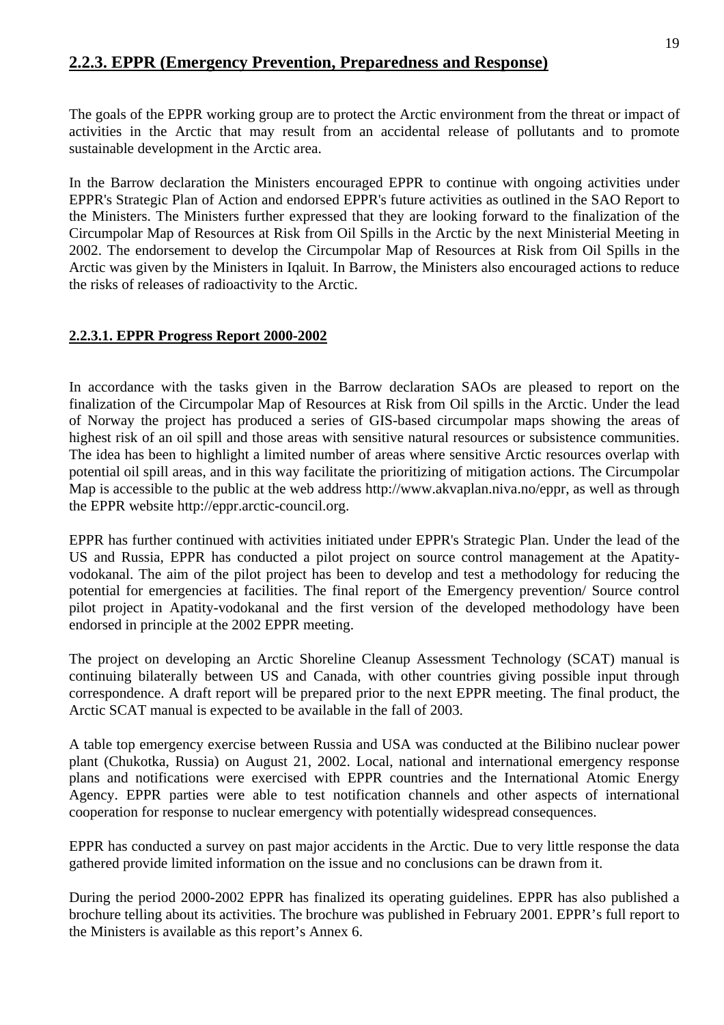# **2.2.3. EPPR (Emergency Prevention, Preparedness and Response)**

The goals of the EPPR working group are to protect the Arctic environment from the threat or impact of activities in the Arctic that may result from an accidental release of pollutants and to promote sustainable development in the Arctic area.

In the Barrow declaration the Ministers encouraged EPPR to continue with ongoing activities under EPPR's Strategic Plan of Action and endorsed EPPR's future activities as outlined in the SAO Report to the Ministers. The Ministers further expressed that they are looking forward to the finalization of the Circumpolar Map of Resources at Risk from Oil Spills in the Arctic by the next Ministerial Meeting in 2002. The endorsement to develop the Circumpolar Map of Resources at Risk from Oil Spills in the Arctic was given by the Ministers in Iqaluit. In Barrow, the Ministers also encouraged actions to reduce the risks of releases of radioactivity to the Arctic.

# **2.2.3.1. EPPR Progress Report 2000-2002**

In accordance with the tasks given in the Barrow declaration SAOs are pleased to report on the finalization of the Circumpolar Map of Resources at Risk from Oil spills in the Arctic. Under the lead of Norway the project has produced a series of GIS-based circumpolar maps showing the areas of highest risk of an oil spill and those areas with sensitive natural resources or subsistence communities. The idea has been to highlight a limited number of areas where sensitive Arctic resources overlap with potential oil spill areas, and in this way facilitate the prioritizing of mitigation actions. The Circumpolar Map is accessible to the public at the web address http://www.akvaplan.niva.no/eppr, as well as through the EPPR website http://eppr.arctic-council.org.

EPPR has further continued with activities initiated under EPPR's Strategic Plan. Under the lead of the US and Russia, EPPR has conducted a pilot project on source control management at the Apatityvodokanal. The aim of the pilot project has been to develop and test a methodology for reducing the potential for emergencies at facilities. The final report of the Emergency prevention/ Source control pilot project in Apatity-vodokanal and the first version of the developed methodology have been endorsed in principle at the 2002 EPPR meeting.

The project on developing an Arctic Shoreline Cleanup Assessment Technology (SCAT) manual is continuing bilaterally between US and Canada, with other countries giving possible input through correspondence. A draft report will be prepared prior to the next EPPR meeting. The final product, the Arctic SCAT manual is expected to be available in the fall of 2003.

A table top emergency exercise between Russia and USA was conducted at the Bilibino nuclear power plant (Chukotka, Russia) on August 21, 2002. Local, national and international emergency response plans and notifications were exercised with EPPR countries and the International Atomic Energy Agency. EPPR parties were able to test notification channels and other aspects of international cooperation for response to nuclear emergency with potentially widespread consequences.

EPPR has conducted a survey on past major accidents in the Arctic. Due to very little response the data gathered provide limited information on the issue and no conclusions can be drawn from it.

During the period 2000-2002 EPPR has finalized its operating guidelines. EPPR has also published a brochure telling about its activities. The brochure was published in February 2001. EPPR's full report to the Ministers is available as this report's Annex 6.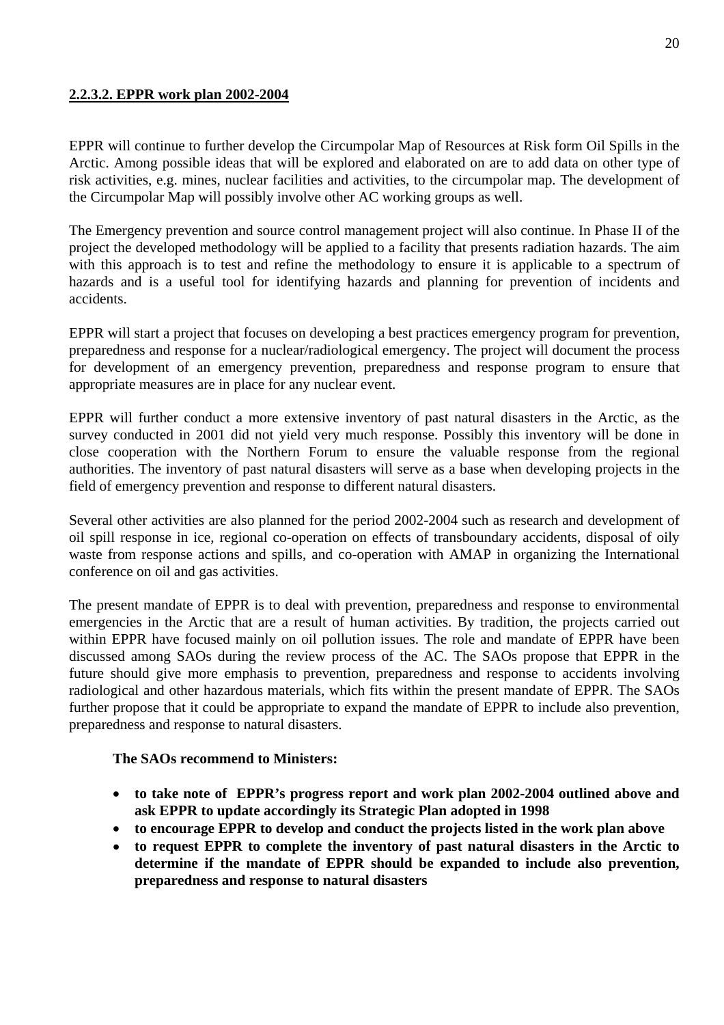# **2.2.3.2. EPPR work plan 2002-2004**

EPPR will continue to further develop the Circumpolar Map of Resources at Risk form Oil Spills in the Arctic. Among possible ideas that will be explored and elaborated on are to add data on other type of risk activities, e.g. mines, nuclear facilities and activities, to the circumpolar map. The development of the Circumpolar Map will possibly involve other AC working groups as well.

The Emergency prevention and source control management project will also continue. In Phase II of the project the developed methodology will be applied to a facility that presents radiation hazards. The aim with this approach is to test and refine the methodology to ensure it is applicable to a spectrum of hazards and is a useful tool for identifying hazards and planning for prevention of incidents and accidents.

EPPR will start a project that focuses on developing a best practices emergency program for prevention, preparedness and response for a nuclear/radiological emergency. The project will document the process for development of an emergency prevention, preparedness and response program to ensure that appropriate measures are in place for any nuclear event.

EPPR will further conduct a more extensive inventory of past natural disasters in the Arctic, as the survey conducted in 2001 did not yield very much response. Possibly this inventory will be done in close cooperation with the Northern Forum to ensure the valuable response from the regional authorities. The inventory of past natural disasters will serve as a base when developing projects in the field of emergency prevention and response to different natural disasters.

Several other activities are also planned for the period 2002-2004 such as research and development of oil spill response in ice, regional co-operation on effects of transboundary accidents, disposal of oily waste from response actions and spills, and co-operation with AMAP in organizing the International conference on oil and gas activities.

The present mandate of EPPR is to deal with prevention, preparedness and response to environmental emergencies in the Arctic that are a result of human activities. By tradition, the projects carried out within EPPR have focused mainly on oil pollution issues. The role and mandate of EPPR have been discussed among SAOs during the review process of the AC. The SAOs propose that EPPR in the future should give more emphasis to prevention, preparedness and response to accidents involving radiological and other hazardous materials, which fits within the present mandate of EPPR. The SAOs further propose that it could be appropriate to expand the mandate of EPPR to include also prevention, preparedness and response to natural disasters.

#### **The SAOs recommend to Ministers:**

- **to take note of EPPR's progress report and work plan 2002-2004 outlined above and ask EPPR to update accordingly its Strategic Plan adopted in 1998**
- **to encourage EPPR to develop and conduct the projects listed in the work plan above**
- • **to request EPPR to complete the inventory of past natural disasters in the Arctic to determine if the mandate of EPPR should be expanded to include also prevention, preparedness and response to natural disasters**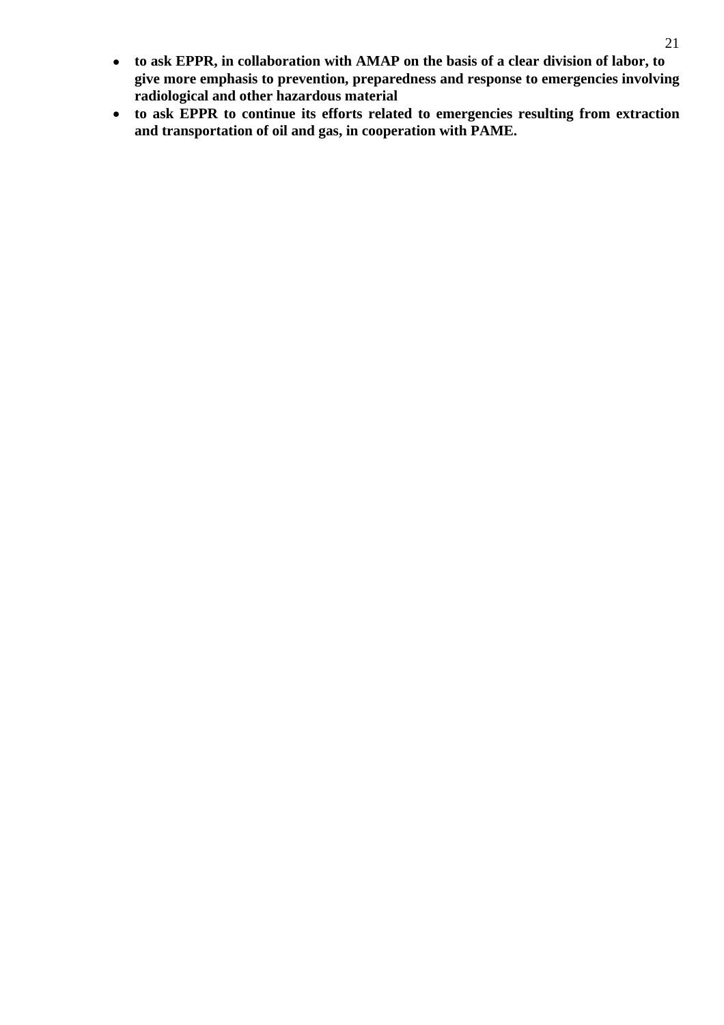- • **to ask EPPR, in collaboration with AMAP on the basis of a clear division of labor, to give more emphasis to prevention, preparedness and response to emergencies involving radiological and other hazardous material**
- • **to ask EPPR to continue its efforts related to emergencies resulting from extraction and transportation of oil and gas, in cooperation with PAME.**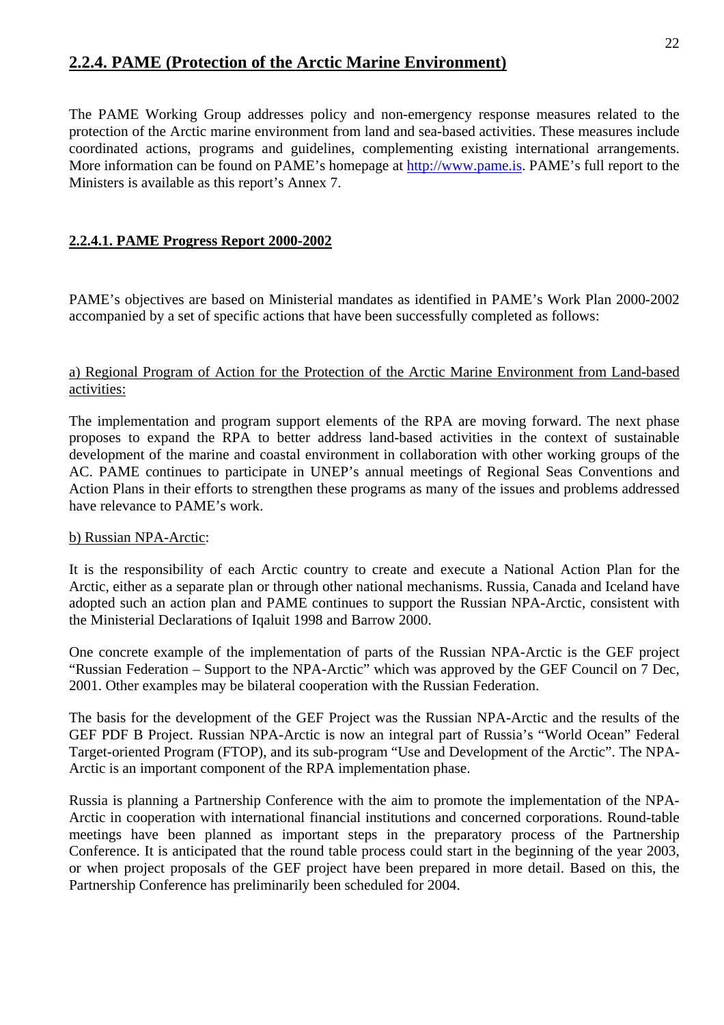# **2.2.4. PAME (Protection of the Arctic Marine Environment)**

The PAME Working Group addresses policy and non-emergency response measures related to the protection of the Arctic marine environment from land and sea-based activities. These measures include coordinated actions, programs and guidelines, complementing existing international arrangements. More information can be found on PAME's homepage at http://www.pame.is. PAME's full report to the Ministers is available as this report's Annex 7.

# **2.2.4.1. PAME Progress Report 2000-2002**

PAME's objectives are based on Ministerial mandates as identified in PAME's Work Plan 2000-2002 accompanied by a set of specific actions that have been successfully completed as follows:

#### a) Regional Program of Action for the Protection of the Arctic Marine Environment from Land-based activities:

The implementation and program support elements of the RPA are moving forward. The next phase proposes to expand the RPA to better address land-based activities in the context of sustainable development of the marine and coastal environment in collaboration with other working groups of the AC. PAME continues to participate in UNEP's annual meetings of Regional Seas Conventions and Action Plans in their efforts to strengthen these programs as many of the issues and problems addressed have relevance to PAME's work.

#### b) Russian NPA-Arctic:

It is the responsibility of each Arctic country to create and execute a National Action Plan for the Arctic, either as a separate plan or through other national mechanisms. Russia, Canada and Iceland have adopted such an action plan and PAME continues to support the Russian NPA-Arctic, consistent with the Ministerial Declarations of Iqaluit 1998 and Barrow 2000.

One concrete example of the implementation of parts of the Russian NPA-Arctic is the GEF project "Russian Federation – Support to the NPA-Arctic" which was approved by the GEF Council on 7 Dec, 2001. Other examples may be bilateral cooperation with the Russian Federation.

The basis for the development of the GEF Project was the Russian NPA-Arctic and the results of the GEF PDF B Project. Russian NPA-Arctic is now an integral part of Russia's "World Ocean" Federal Target-oriented Program (FTOP), and its sub-program "Use and Development of the Arctic". The NPA-Arctic is an important component of the RPA implementation phase.

Russia is planning a Partnership Conference with the aim to promote the implementation of the NPA-Arctic in cooperation with international financial institutions and concerned corporations. Round-table meetings have been planned as important steps in the preparatory process of the Partnership Conference. It is anticipated that the round table process could start in the beginning of the year 2003, or when project proposals of the GEF project have been prepared in more detail. Based on this, the Partnership Conference has preliminarily been scheduled for 2004.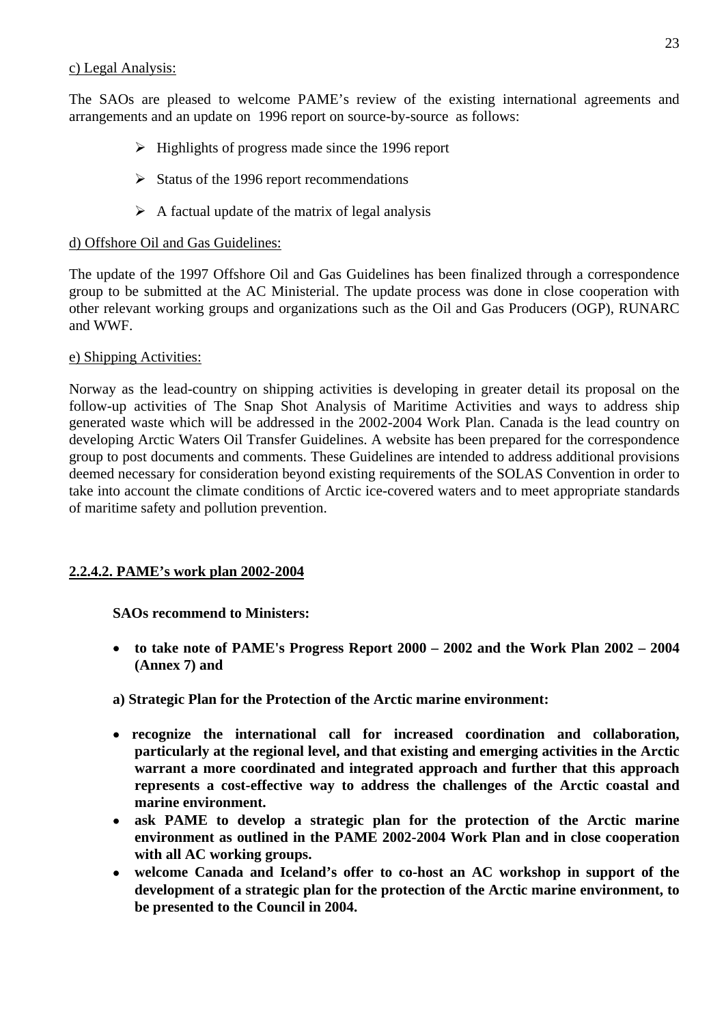#### c) Legal Analysis:

The SAOs are pleased to welcome PAME's review of the existing international agreements and arrangements and an update on 1996 report on source-by-source as follows:

- $\triangleright$  Highlights of progress made since the 1996 report
- $\triangleright$  Status of the 1996 report recommendations
- $\triangleright$  A factual update of the matrix of legal analysis

#### d) Offshore Oil and Gas Guidelines:

The update of the 1997 Offshore Oil and Gas Guidelines has been finalized through a correspondence group to be submitted at the AC Ministerial. The update process was done in close cooperation with other relevant working groups and organizations such as the Oil and Gas Producers (OGP), RUNARC and WWF.

#### e) Shipping Activities:

Norway as the lead-country on shipping activities is developing in greater detail its proposal on the follow-up activities of The Snap Shot Analysis of Maritime Activities and ways to address ship generated waste which will be addressed in the 2002-2004 Work Plan. Canada is the lead country on developing Arctic Waters Oil Transfer Guidelines. A website has been prepared for the correspondence group to post documents and comments. These Guidelines are intended to address additional provisions deemed necessary for consideration beyond existing requirements of the SOLAS Convention in order to take into account the climate conditions of Arctic ice-covered waters and to meet appropriate standards of maritime safety and pollution prevention.

# **2.2.4.2. PAME's work plan 2002-2004**

# **SAOs recommend to Ministers:**

- • **to take note of PAME's Progress Report 2000 2002 and the Work Plan 2002 2004 (Annex 7) and**
- **a) Strategic Plan for the Protection of the Arctic marine environment:**
- • **recognize the international call for increased coordination and collaboration, particularly at the regional level, and that existing and emerging activities in the Arctic warrant a more coordinated and integrated approach and further that this approach represents a cost-effective way to address the challenges of the Arctic coastal and marine environment.**
- • **ask PAME to develop a strategic plan for the protection of the Arctic marine environment as outlined in the PAME 2002-2004 Work Plan and in close cooperation with all AC working groups.**
- • **welcome Canada and Iceland's offer to co-host an AC workshop in support of the development of a strategic plan for the protection of the Arctic marine environment, to be presented to the Council in 2004.**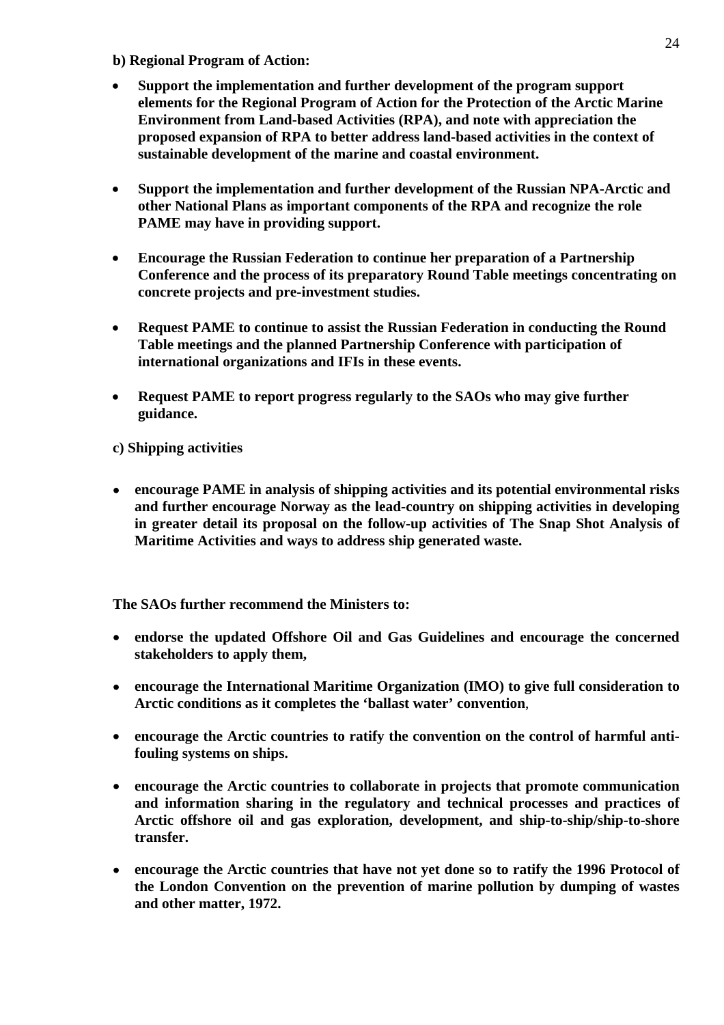- **b) Regional Program of Action:**
- **Support the implementation and further development of the program support elements for the Regional Program of Action for the Protection of the Arctic Marine Environment from Land-based Activities (RPA), and note with appreciation the proposed expansion of RPA to better address land-based activities in the context of sustainable development of the marine and coastal environment.**
- **Support the implementation and further development of the Russian NPA-Arctic and other National Plans as important components of the RPA and recognize the role PAME may have in providing support.**
- **Encourage the Russian Federation to continue her preparation of a Partnership Conference and the process of its preparatory Round Table meetings concentrating on concrete projects and pre-investment studies.**
- **Request PAME to continue to assist the Russian Federation in conducting the Round Table meetings and the planned Partnership Conference with participation of international organizations and IFIs in these events.**
- **Request PAME to report progress regularly to the SAOs who may give further guidance.**

**c) Shipping activities** 

• **encourage PAME in analysis of shipping activities and its potential environmental risks and further encourage Norway as the lead-country on shipping activities in developing in greater detail its proposal on the follow-up activities of The Snap Shot Analysis of Maritime Activities and ways to address ship generated waste.**

**The SAOs further recommend the Ministers to:** 

- • **endorse the updated Offshore Oil and Gas Guidelines and encourage the concerned stakeholders to apply them,**
- • **encourage the International Maritime Organization (IMO) to give full consideration to Arctic conditions as it completes the 'ballast water' convention**,
- encourage the Arctic countries to ratify the convention on the control of harmful anti**fouling systems on ships.**
- • **encourage the Arctic countries to collaborate in projects that promote communication and information sharing in the regulatory and technical processes and practices of Arctic offshore oil and gas exploration, development, and ship-to-ship/ship-to-shore transfer.**
- encourage the Arctic countries that have not yet done so to ratify the 1996 Protocol of **the London Convention on the prevention of marine pollution by dumping of wastes and other matter, 1972.**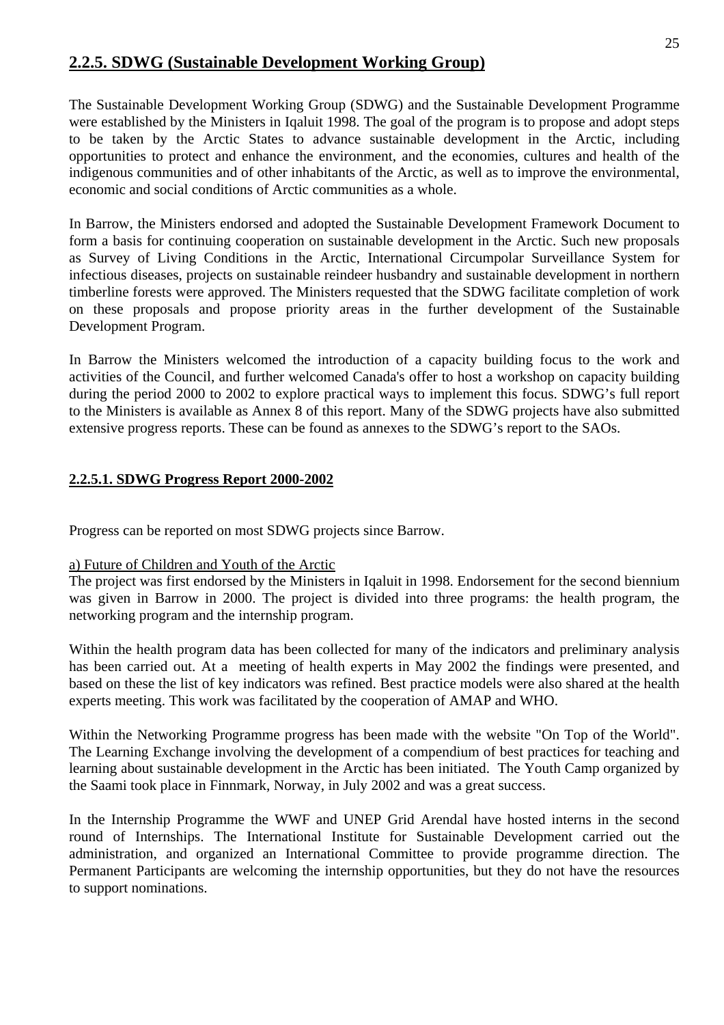# **2.2.5. SDWG (Sustainable Development Working Group)**

The Sustainable Development Working Group (SDWG) and the Sustainable Development Programme were established by the Ministers in Iqaluit 1998. The goal of the program is to propose and adopt steps to be taken by the Arctic States to advance sustainable development in the Arctic, including opportunities to protect and enhance the environment, and the economies, cultures and health of the indigenous communities and of other inhabitants of the Arctic, as well as to improve the environmental, economic and social conditions of Arctic communities as a whole.

In Barrow, the Ministers endorsed and adopted the Sustainable Development Framework Document to form a basis for continuing cooperation on sustainable development in the Arctic. Such new proposals as Survey of Living Conditions in the Arctic, International Circumpolar Surveillance System for infectious diseases, projects on sustainable reindeer husbandry and sustainable development in northern timberline forests were approved. The Ministers requested that the SDWG facilitate completion of work on these proposals and propose priority areas in the further development of the Sustainable Development Program.

In Barrow the Ministers welcomed the introduction of a capacity building focus to the work and activities of the Council, and further welcomed Canada's offer to host a workshop on capacity building during the period 2000 to 2002 to explore practical ways to implement this focus. SDWG's full report to the Ministers is available as Annex 8 of this report. Many of the SDWG projects have also submitted extensive progress reports. These can be found as annexes to the SDWG's report to the SAOs.

# **2.2.5.1. SDWG Progress Report 2000-2002**

Progress can be reported on most SDWG projects since Barrow.

# a) Future of Children and Youth of the Arctic

The project was first endorsed by the Ministers in Iqaluit in 1998. Endorsement for the second biennium was given in Barrow in 2000. The project is divided into three programs: the health program, the networking program and the internship program.

Within the health program data has been collected for many of the indicators and preliminary analysis has been carried out. At a meeting of health experts in May 2002 the findings were presented, and based on these the list of key indicators was refined. Best practice models were also shared at the health experts meeting. This work was facilitated by the cooperation of AMAP and WHO.

Within the Networking Programme progress has been made with the website "On Top of the World". The Learning Exchange involving the development of a compendium of best practices for teaching and learning about sustainable development in the Arctic has been initiated. The Youth Camp organized by the Saami took place in Finnmark, Norway, in July 2002 and was a great success.

In the Internship Programme the WWF and UNEP Grid Arendal have hosted interns in the second round of Internships. The International Institute for Sustainable Development carried out the administration, and organized an International Committee to provide programme direction. The Permanent Participants are welcoming the internship opportunities, but they do not have the resources to support nominations.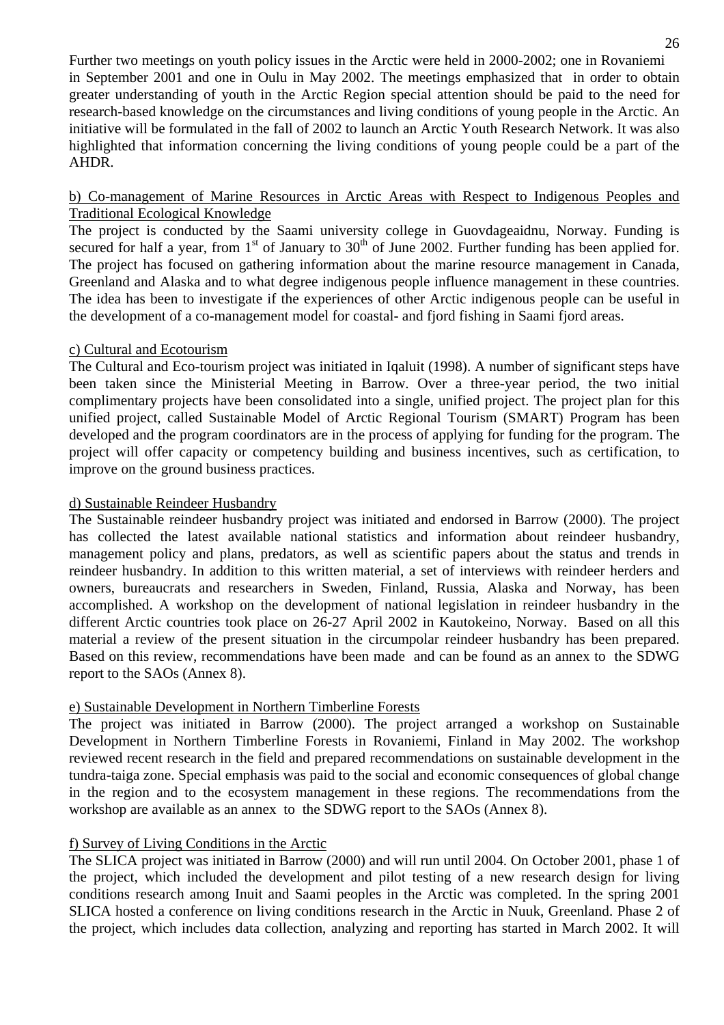Further two meetings on youth policy issues in the Arctic were held in 2000-2002; one in Rovaniemi in September 2001 and one in Oulu in May 2002. The meetings emphasized that in order to obtain greater understanding of youth in the Arctic Region special attention should be paid to the need for research-based knowledge on the circumstances and living conditions of young people in the Arctic. An initiative will be formulated in the fall of 2002 to launch an Arctic Youth Research Network. It was also highlighted that information concerning the living conditions of young people could be a part of the AHDR.

# b) Co-management of Marine Resources in Arctic Areas with Respect to Indigenous Peoples and Traditional Ecological Knowledge

The project is conducted by the Saami university college in Guovdageaidnu, Norway. Funding is secured for half a year, from  $1<sup>st</sup>$  of January to  $30<sup>th</sup>$  of June 2002. Further funding has been applied for. The project has focused on gathering information about the marine resource management in Canada, Greenland and Alaska and to what degree indigenous people influence management in these countries. The idea has been to investigate if the experiences of other Arctic indigenous people can be useful in the development of a co-management model for coastal- and fjord fishing in Saami fjord areas.

# c) Cultural and Ecotourism

The Cultural and Eco-tourism project was initiated in Iqaluit (1998). A number of significant steps have been taken since the Ministerial Meeting in Barrow. Over a three-year period, the two initial complimentary projects have been consolidated into a single, unified project. The project plan for this unified project, called Sustainable Model of Arctic Regional Tourism (SMART) Program has been developed and the program coordinators are in the process of applying for funding for the program. The project will offer capacity or competency building and business incentives, such as certification, to improve on the ground business practices.

# d) Sustainable Reindeer Husbandry

The Sustainable reindeer husbandry project was initiated and endorsed in Barrow (2000). The project has collected the latest available national statistics and information about reindeer husbandry, management policy and plans, predators, as well as scientific papers about the status and trends in reindeer husbandry. In addition to this written material, a set of interviews with reindeer herders and owners, bureaucrats and researchers in Sweden, Finland, Russia, Alaska and Norway, has been accomplished. A workshop on the development of national legislation in reindeer husbandry in the different Arctic countries took place on 26-27 April 2002 in Kautokeino, Norway. Based on all this material a review of the present situation in the circumpolar reindeer husbandry has been prepared. Based on this review, recommendations have been made and can be found as an annex to the SDWG report to the SAOs (Annex 8).

# e) Sustainable Development in Northern Timberline Forests

The project was initiated in Barrow (2000). The project arranged a workshop on Sustainable Development in Northern Timberline Forests in Rovaniemi, Finland in May 2002. The workshop reviewed recent research in the field and prepared recommendations on sustainable development in the tundra-taiga zone. Special emphasis was paid to the social and economic consequences of global change in the region and to the ecosystem management in these regions. The recommendations from the workshop are available as an annex to the SDWG report to the SAOs (Annex 8).

# f) Survey of Living Conditions in the Arctic

The SLICA project was initiated in Barrow (2000) and will run until 2004. On October 2001, phase 1 of the project, which included the development and pilot testing of a new research design for living conditions research among Inuit and Saami peoples in the Arctic was completed. In the spring 2001 SLICA hosted a conference on living conditions research in the Arctic in Nuuk, Greenland. Phase 2 of the project, which includes data collection, analyzing and reporting has started in March 2002. It will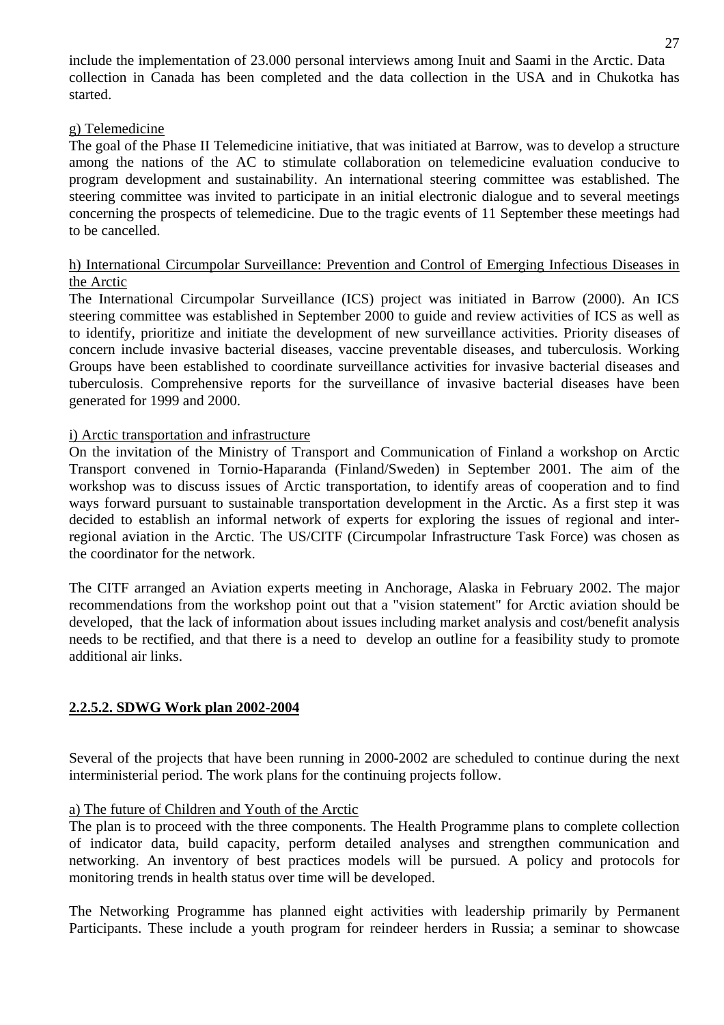include the implementation of 23.000 personal interviews among Inuit and Saami in the Arctic. Data collection in Canada has been completed and the data collection in the USA and in Chukotka has started.

#### g) Telemedicine

The goal of the Phase II Telemedicine initiative, that was initiated at Barrow, was to develop a structure among the nations of the AC to stimulate collaboration on telemedicine evaluation conducive to program development and sustainability. An international steering committee was established. The steering committee was invited to participate in an initial electronic dialogue and to several meetings concerning the prospects of telemedicine. Due to the tragic events of 11 September these meetings had to be cancelled.

# h) International Circumpolar Surveillance: Prevention and Control of Emerging Infectious Diseases in the Arctic

The International Circumpolar Surveillance (ICS) project was initiated in Barrow (2000). An ICS steering committee was established in September 2000 to guide and review activities of ICS as well as to identify, prioritize and initiate the development of new surveillance activities. Priority diseases of concern include invasive bacterial diseases, vaccine preventable diseases, and tuberculosis. Working Groups have been established to coordinate surveillance activities for invasive bacterial diseases and tuberculosis. Comprehensive reports for the surveillance of invasive bacterial diseases have been generated for 1999 and 2000.

#### i) Arctic transportation and infrastructure

On the invitation of the Ministry of Transport and Communication of Finland a workshop on Arctic Transport convened in Tornio-Haparanda (Finland/Sweden) in September 2001. The aim of the workshop was to discuss issues of Arctic transportation, to identify areas of cooperation and to find ways forward pursuant to sustainable transportation development in the Arctic. As a first step it was decided to establish an informal network of experts for exploring the issues of regional and interregional aviation in the Arctic. The US/CITF (Circumpolar Infrastructure Task Force) was chosen as the coordinator for the network.

The CITF arranged an Aviation experts meeting in Anchorage, Alaska in February 2002. The major recommendations from the workshop point out that a "vision statement" for Arctic aviation should be developed, that the lack of information about issues including market analysis and cost/benefit analysis needs to be rectified, and that there is a need to develop an outline for a feasibility study to promote additional air links.

# **2.2.5.2. SDWG Work plan 2002-2004**

Several of the projects that have been running in 2000-2002 are scheduled to continue during the next interministerial period. The work plans for the continuing projects follow.

# a) The future of Children and Youth of the Arctic

The plan is to proceed with the three components. The Health Programme plans to complete collection of indicator data, build capacity, perform detailed analyses and strengthen communication and networking. An inventory of best practices models will be pursued. A policy and protocols for monitoring trends in health status over time will be developed.

The Networking Programme has planned eight activities with leadership primarily by Permanent Participants. These include a youth program for reindeer herders in Russia; a seminar to showcase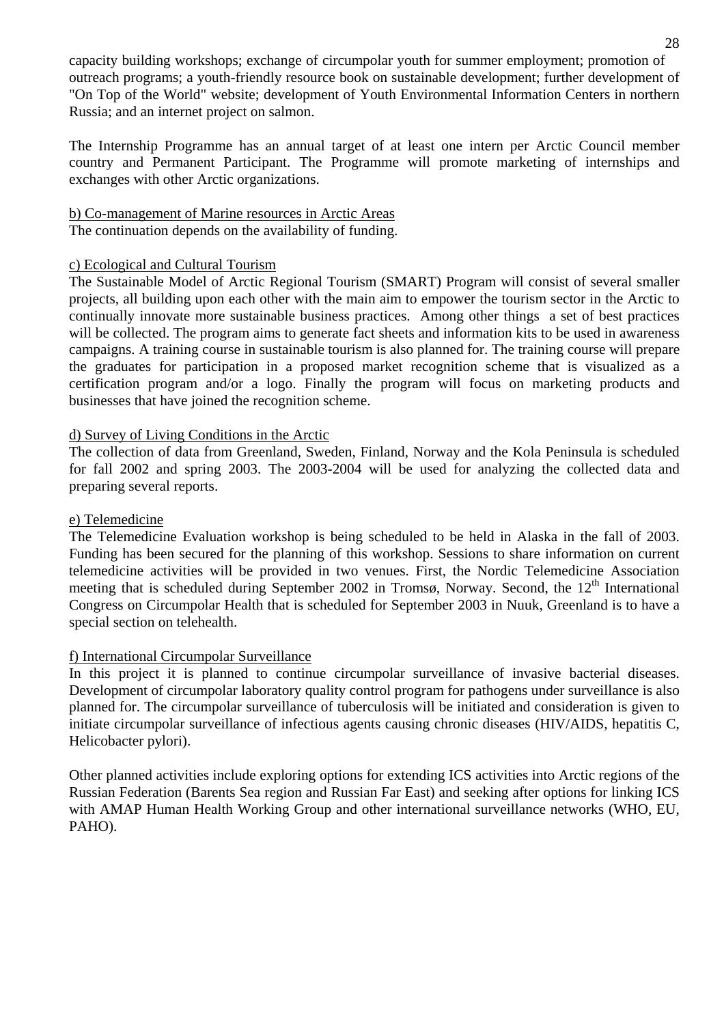capacity building workshops; exchange of circumpolar youth for summer employment; promotion of outreach programs; a youth-friendly resource book on sustainable development; further development of "On Top of the World" website; development of Youth Environmental Information Centers in northern Russia; and an internet project on salmon.

The Internship Programme has an annual target of at least one intern per Arctic Council member country and Permanent Participant. The Programme will promote marketing of internships and exchanges with other Arctic organizations.

#### b) Co-management of Marine resources in Arctic Areas

The continuation depends on the availability of funding.

#### c) Ecological and Cultural Tourism

The Sustainable Model of Arctic Regional Tourism (SMART) Program will consist of several smaller projects, all building upon each other with the main aim to empower the tourism sector in the Arctic to continually innovate more sustainable business practices. Among other things a set of best practices will be collected. The program aims to generate fact sheets and information kits to be used in awareness campaigns. A training course in sustainable tourism is also planned for. The training course will prepare the graduates for participation in a proposed market recognition scheme that is visualized as a certification program and/or a logo. Finally the program will focus on marketing products and businesses that have joined the recognition scheme.

#### d) Survey of Living Conditions in the Arctic

The collection of data from Greenland, Sweden, Finland, Norway and the Kola Peninsula is scheduled for fall 2002 and spring 2003. The 2003-2004 will be used for analyzing the collected data and preparing several reports.

#### e) Telemedicine

The Telemedicine Evaluation workshop is being scheduled to be held in Alaska in the fall of 2003. Funding has been secured for the planning of this workshop. Sessions to share information on current telemedicine activities will be provided in two venues. First, the Nordic Telemedicine Association meeting that is scheduled during September 2002 in Tromsø, Norway. Second, the  $12<sup>th</sup>$  International Congress on Circumpolar Health that is scheduled for September 2003 in Nuuk, Greenland is to have a special section on telehealth.

# f) International Circumpolar Surveillance

In this project it is planned to continue circumpolar surveillance of invasive bacterial diseases. Development of circumpolar laboratory quality control program for pathogens under surveillance is also planned for. The circumpolar surveillance of tuberculosis will be initiated and consideration is given to initiate circumpolar surveillance of infectious agents causing chronic diseases (HIV/AIDS, hepatitis C, Helicobacter pylori).

Other planned activities include exploring options for extending ICS activities into Arctic regions of the Russian Federation (Barents Sea region and Russian Far East) and seeking after options for linking ICS with AMAP Human Health Working Group and other international surveillance networks (WHO, EU, PAHO).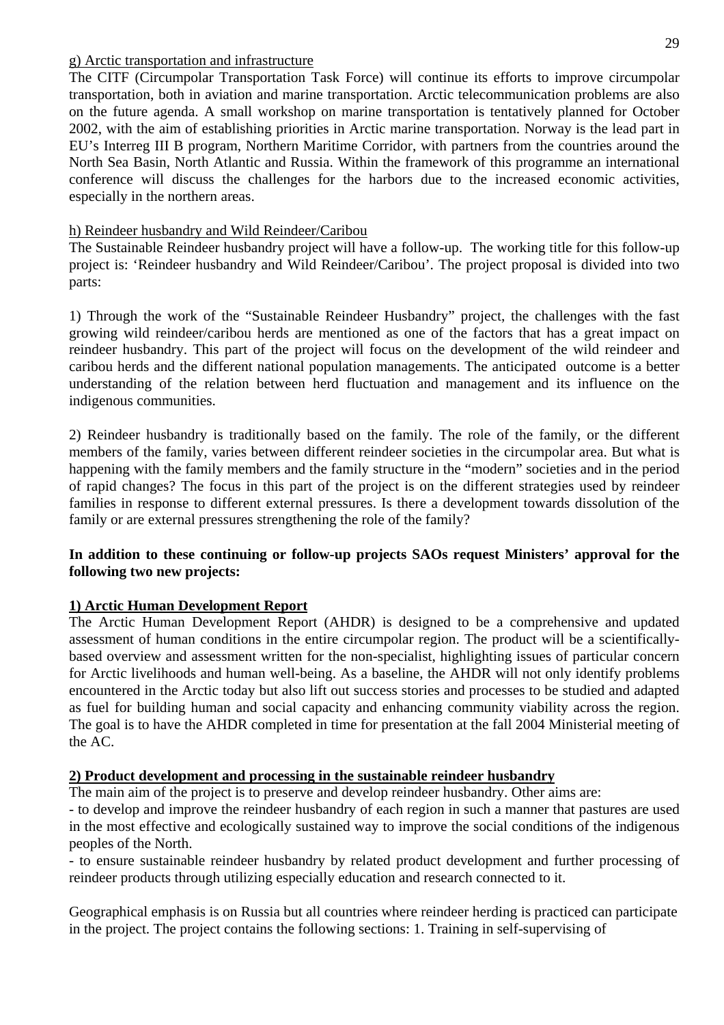#### g) Arctic transportation and infrastructure

The CITF (Circumpolar Transportation Task Force) will continue its efforts to improve circumpolar transportation, both in aviation and marine transportation. Arctic telecommunication problems are also on the future agenda. A small workshop on marine transportation is tentatively planned for October 2002, with the aim of establishing priorities in Arctic marine transportation. Norway is the lead part in EU's Interreg III B program, Northern Maritime Corridor, with partners from the countries around the North Sea Basin, North Atlantic and Russia. Within the framework of this programme an international conference will discuss the challenges for the harbors due to the increased economic activities, especially in the northern areas.

# h) Reindeer husbandry and Wild Reindeer/Caribou

The Sustainable Reindeer husbandry project will have a follow-up. The working title for this follow-up project is: 'Reindeer husbandry and Wild Reindeer/Caribou'. The project proposal is divided into two parts:

1) Through the work of the "Sustainable Reindeer Husbandry" project, the challenges with the fast growing wild reindeer/caribou herds are mentioned as one of the factors that has a great impact on reindeer husbandry. This part of the project will focus on the development of the wild reindeer and caribou herds and the different national population managements. The anticipated outcome is a better understanding of the relation between herd fluctuation and management and its influence on the indigenous communities.

2) Reindeer husbandry is traditionally based on the family. The role of the family, or the different members of the family, varies between different reindeer societies in the circumpolar area. But what is happening with the family members and the family structure in the "modern" societies and in the period of rapid changes? The focus in this part of the project is on the different strategies used by reindeer families in response to different external pressures. Is there a development towards dissolution of the family or are external pressures strengthening the role of the family?

# **In addition to these continuing or follow-up projects SAOs request Ministers' approval for the following two new projects:**

# **1) Arctic Human Development Report**

The Arctic Human Development Report (AHDR) is designed to be a comprehensive and updated assessment of human conditions in the entire circumpolar region. The product will be a scientificallybased overview and assessment written for the non-specialist, highlighting issues of particular concern for Arctic livelihoods and human well-being. As a baseline, the AHDR will not only identify problems encountered in the Arctic today but also lift out success stories and processes to be studied and adapted as fuel for building human and social capacity and enhancing community viability across the region. The goal is to have the AHDR completed in time for presentation at the fall 2004 Ministerial meeting of the AC.

# **2) Product development and processing in the sustainable reindeer husbandry**

The main aim of the project is to preserve and develop reindeer husbandry. Other aims are:

- to develop and improve the reindeer husbandry of each region in such a manner that pastures are used in the most effective and ecologically sustained way to improve the social conditions of the indigenous peoples of the North.

- to ensure sustainable reindeer husbandry by related product development and further processing of reindeer products through utilizing especially education and research connected to it.

Geographical emphasis is on Russia but all countries where reindeer herding is practiced can participate in the project. The project contains the following sections: 1. Training in self-supervising of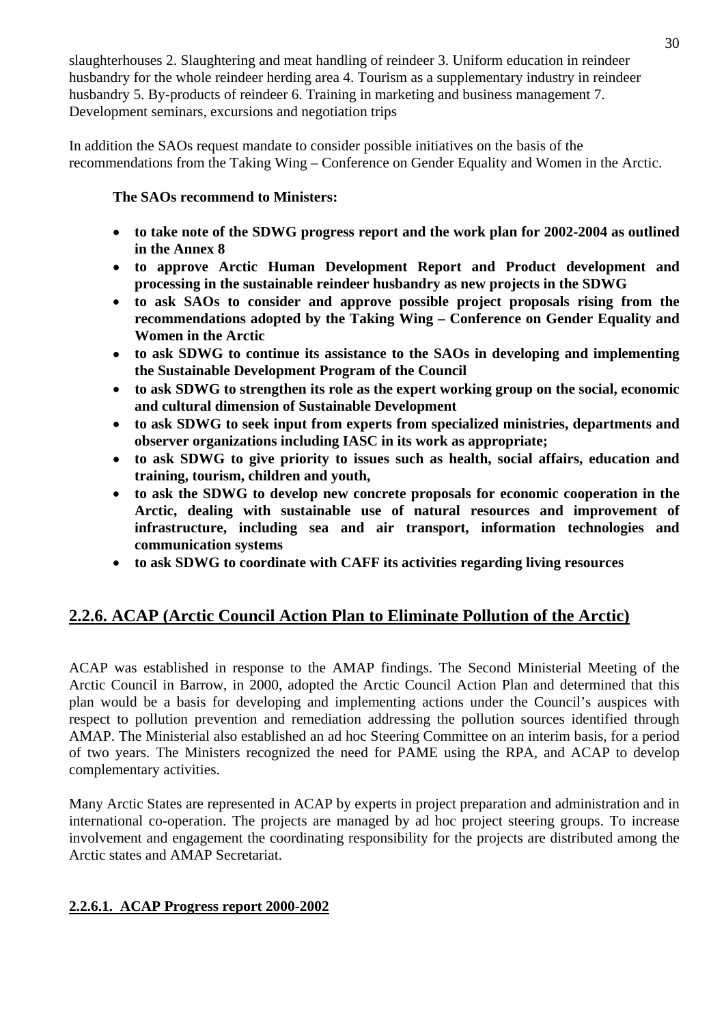slaughterhouses 2. Slaughtering and meat handling of reindeer 3. Uniform education in reindeer husbandry for the whole reindeer herding area 4. Tourism as a supplementary industry in reindeer husbandry 5. By-products of reindeer 6. Training in marketing and business management 7. Development seminars, excursions and negotiation trips

In addition the SAOs request mandate to consider possible initiatives on the basis of the recommendations from the Taking Wing – Conference on Gender Equality and Women in the Arctic.

# **The SAOs recommend to Ministers:**

- • **to take note of the SDWG progress report and the work plan for 2002-2004 as outlined in the Annex 8**
- • **to approve Arctic Human Development Report and Product development and processing in the sustainable reindeer husbandry as new projects in the SDWG**
- **to ask SAOs to consider and approve possible project proposals rising from the recommendations adopted by the Taking Wing – Conference on Gender Equality and Women in the Arctic**
- • **to ask SDWG to continue its assistance to the SAOs in developing and implementing the Sustainable Development Program of the Council**
- • **to ask SDWG to strengthen its role as the expert working group on the social, economic and cultural dimension of Sustainable Development**
- • **to ask SDWG to seek input from experts from specialized ministries, departments and observer organizations including IASC in its work as appropriate;**
- • **to ask SDWG to give priority to issues such as health, social affairs, education and training, tourism, children and youth,**
- **to ask the SDWG to develop new concrete proposals for economic cooperation in the Arctic, dealing with sustainable use of natural resources and improvement of infrastructure, including sea and air transport, information technologies and communication systems**
- **to ask SDWG to coordinate with CAFF its activities regarding living resources**

# **2.2.6. ACAP (Arctic Council Action Plan to Eliminate Pollution of the Arctic)**

ACAP was established in response to the AMAP findings. The Second Ministerial Meeting of the Arctic Council in Barrow, in 2000, adopted the Arctic Council Action Plan and determined that this plan would be a basis for developing and implementing actions under the Council's auspices with respect to pollution prevention and remediation addressing the pollution sources identified through AMAP. The Ministerial also established an ad hoc Steering Committee on an interim basis, for a period of two years. The Ministers recognized the need for PAME using the RPA, and ACAP to develop complementary activities.

Many Arctic States are represented in ACAP by experts in project preparation and administration and in international co-operation. The projects are managed by ad hoc project steering groups. To increase involvement and engagement the coordinating responsibility for the projects are distributed among the Arctic states and AMAP Secretariat.

# **2.2.6.1. ACAP Progress report 2000-2002**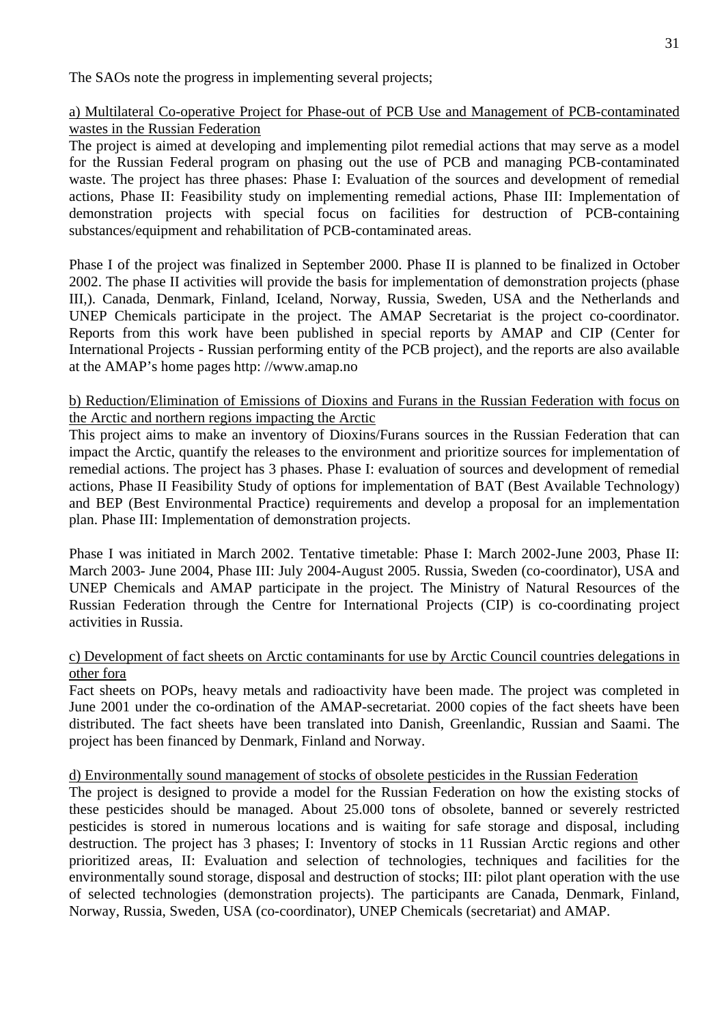The SAOs note the progress in implementing several projects;

# a) Multilateral Co-operative Project for Phase-out of PCB Use and Management of PCB-contaminated wastes in the Russian Federation

The project is aimed at developing and implementing pilot remedial actions that may serve as a model for the Russian Federal program on phasing out the use of PCB and managing PCB-contaminated waste. The project has three phases: Phase I: Evaluation of the sources and development of remedial actions, Phase II: Feasibility study on implementing remedial actions, Phase III: Implementation of demonstration projects with special focus on facilities for destruction of PCB-containing substances/equipment and rehabilitation of PCB-contaminated areas.

Phase I of the project was finalized in September 2000. Phase II is planned to be finalized in October 2002. The phase II activities will provide the basis for implementation of demonstration projects (phase III,). Canada, Denmark, Finland, Iceland, Norway, Russia, Sweden, USA and the Netherlands and UNEP Chemicals participate in the project. The AMAP Secretariat is the project co-coordinator. Reports from this work have been published in special reports by AMAP and CIP (Center for International Projects - Russian performing entity of the PCB project), and the reports are also available at the AMAP's home pages http: //www.amap.no

# b) Reduction/Elimination of Emissions of Dioxins and Furans in the Russian Federation with focus on the Arctic and northern regions impacting the Arctic

This project aims to make an inventory of Dioxins/Furans sources in the Russian Federation that can impact the Arctic, quantify the releases to the environment and prioritize sources for implementation of remedial actions. The project has 3 phases. Phase I: evaluation of sources and development of remedial actions, Phase II Feasibility Study of options for implementation of BAT (Best Available Technology) and BEP (Best Environmental Practice) requirements and develop a proposal for an implementation plan. Phase III: Implementation of demonstration projects.

Phase I was initiated in March 2002. Tentative timetable: Phase I: March 2002-June 2003, Phase II: March 2003- June 2004, Phase III: July 2004-August 2005. Russia, Sweden (co-coordinator), USA and UNEP Chemicals and AMAP participate in the project. The Ministry of Natural Resources of the Russian Federation through the Centre for International Projects (CIP) is co-coordinating project activities in Russia.

#### c) Development of fact sheets on Arctic contaminants for use by Arctic Council countries delegations in other fora

Fact sheets on POPs, heavy metals and radioactivity have been made. The project was completed in June 2001 under the co-ordination of the AMAP-secretariat. 2000 copies of the fact sheets have been distributed. The fact sheets have been translated into Danish, Greenlandic, Russian and Saami. The project has been financed by Denmark, Finland and Norway.

# d) Environmentally sound management of stocks of obsolete pesticides in the Russian Federation

The project is designed to provide a model for the Russian Federation on how the existing stocks of these pesticides should be managed. About 25.000 tons of obsolete, banned or severely restricted pesticides is stored in numerous locations and is waiting for safe storage and disposal, including destruction. The project has 3 phases; I: Inventory of stocks in 11 Russian Arctic regions and other prioritized areas, II: Evaluation and selection of technologies, techniques and facilities for the environmentally sound storage, disposal and destruction of stocks; III: pilot plant operation with the use of selected technologies (demonstration projects). The participants are Canada, Denmark, Finland, Norway, Russia, Sweden, USA (co-coordinator), UNEP Chemicals (secretariat) and AMAP.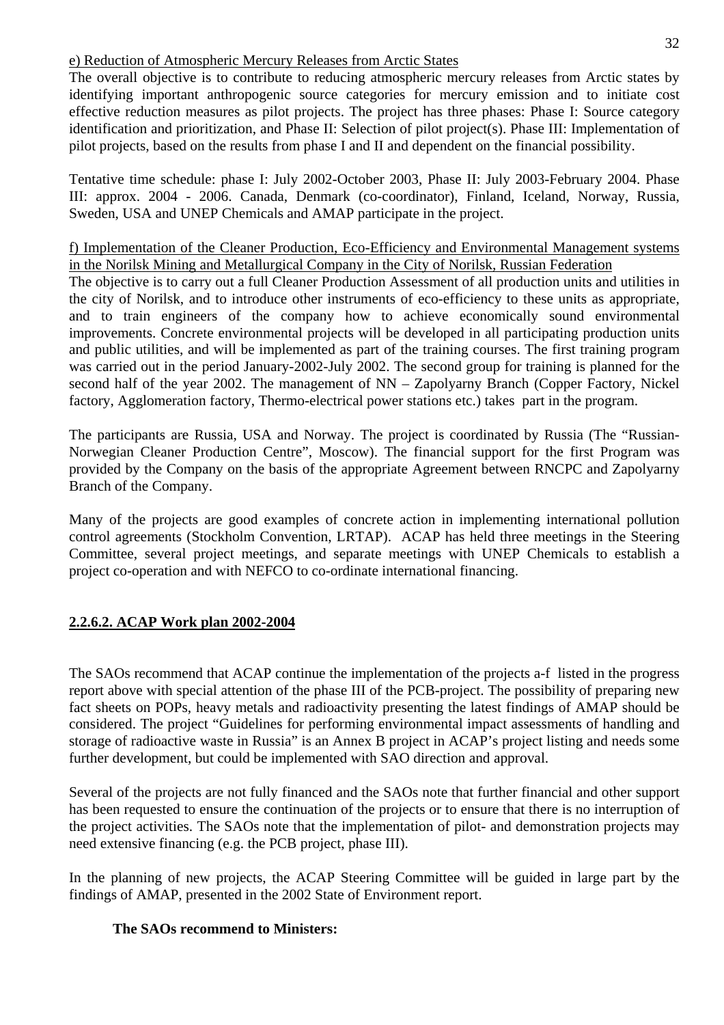# e) Reduction of Atmospheric Mercury Releases from Arctic States

The overall objective is to contribute to reducing atmospheric mercury releases from Arctic states by identifying important anthropogenic source categories for mercury emission and to initiate cost effective reduction measures as pilot projects. The project has three phases: Phase I: Source category identification and prioritization, and Phase II: Selection of pilot project(s). Phase III: Implementation of pilot projects, based on the results from phase I and II and dependent on the financial possibility.

Tentative time schedule: phase I: July 2002-October 2003, Phase II: July 2003-February 2004. Phase III: approx. 2004 - 2006. Canada, Denmark (co-coordinator), Finland, Iceland, Norway, Russia, Sweden, USA and UNEP Chemicals and AMAP participate in the project.

f) Implementation of the Cleaner Production, Eco-Efficiency and Environmental Management systems in the Norilsk Mining and Metallurgical Company in the City of Norilsk, Russian Federation

The objective is to carry out a full Cleaner Production Assessment of all production units and utilities in the city of Norilsk, and to introduce other instruments of eco-efficiency to these units as appropriate, and to train engineers of the company how to achieve economically sound environmental improvements. Concrete environmental projects will be developed in all participating production units and public utilities, and will be implemented as part of the training courses. The first training program was carried out in the period January-2002-July 2002. The second group for training is planned for the second half of the year 2002. The management of NN – Zapolyarny Branch (Copper Factory, Nickel factory, Agglomeration factory, Thermo-electrical power stations etc.) takes part in the program.

The participants are Russia, USA and Norway. The project is coordinated by Russia (The "Russian-Norwegian Cleaner Production Centre", Moscow). The financial support for the first Program was provided by the Company on the basis of the appropriate Agreement between RNCPC and Zapolyarny Branch of the Company.

Many of the projects are good examples of concrete action in implementing international pollution control agreements (Stockholm Convention, LRTAP). ACAP has held three meetings in the Steering Committee, several project meetings, and separate meetings with UNEP Chemicals to establish a project co-operation and with NEFCO to co-ordinate international financing.

# **2.2.6.2. ACAP Work plan 2002-2004**

The SAOs recommend that ACAP continue the implementation of the projects a-f listed in the progress report above with special attention of the phase III of the PCB-project. The possibility of preparing new fact sheets on POPs, heavy metals and radioactivity presenting the latest findings of AMAP should be considered. The project "Guidelines for performing environmental impact assessments of handling and storage of radioactive waste in Russia" is an Annex B project in ACAP's project listing and needs some further development, but could be implemented with SAO direction and approval.

Several of the projects are not fully financed and the SAOs note that further financial and other support has been requested to ensure the continuation of the projects or to ensure that there is no interruption of the project activities. The SAOs note that the implementation of pilot- and demonstration projects may need extensive financing (e.g. the PCB project, phase III).

In the planning of new projects, the ACAP Steering Committee will be guided in large part by the findings of AMAP, presented in the 2002 State of Environment report.

# **The SAOs recommend to Ministers:**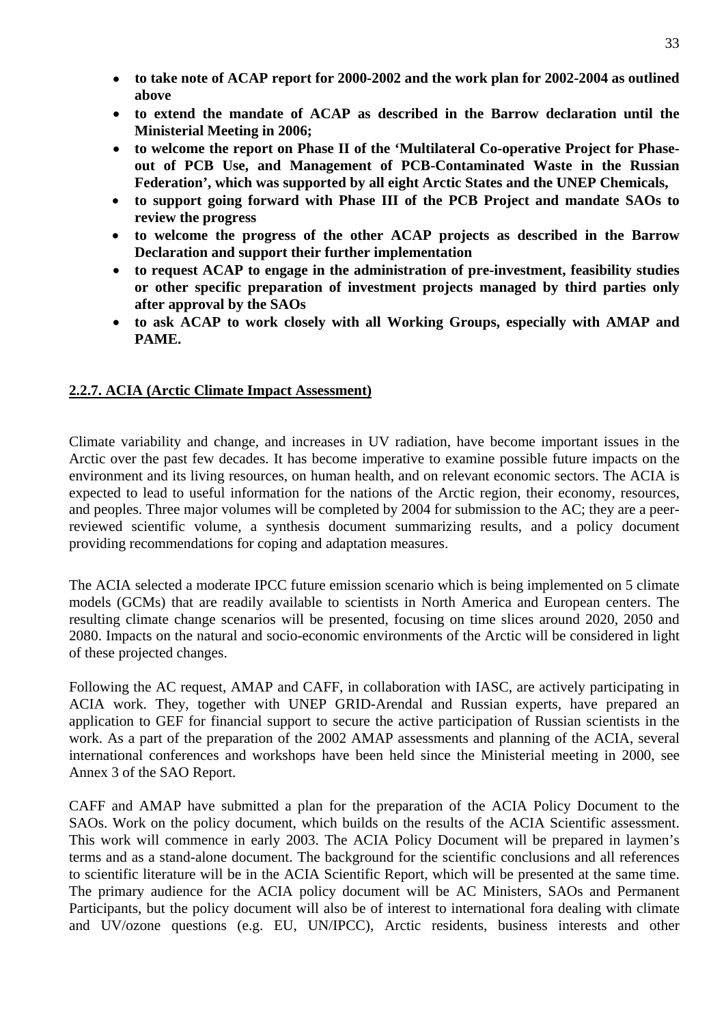- • **to take note of ACAP report for 2000-2002 and the work plan for 2002-2004 as outlined above**
- • **to extend the mandate of ACAP as described in the Barrow declaration until the Ministerial Meeting in 2006;**
- • **to welcome the report on Phase II of the 'Multilateral Co-operative Project for Phaseout of PCB Use, and Management of PCB-Contaminated Waste in the Russian Federation', which was supported by all eight Arctic States and the UNEP Chemicals,**
- **to support going forward with Phase III of the PCB Project and mandate SAOs to review the progress**
- **to welcome the progress of the other ACAP projects as described in the Barrow Declaration and support their further implementation**
- **to request ACAP to engage in the administration of pre-investment, feasibility studies or other specific preparation of investment projects managed by third parties only after approval by the SAOs**
- **to ask ACAP to work closely with all Working Groups, especially with AMAP and PAME.**

# **2.2.7. ACIA (Arctic Climate Impact Assessment)**

Climate variability and change, and increases in UV radiation, have become important issues in the Arctic over the past few decades. It has become imperative to examine possible future impacts on the environment and its living resources, on human health, and on relevant economic sectors. The ACIA is expected to lead to useful information for the nations of the Arctic region, their economy, resources, and peoples. Three major volumes will be completed by 2004 for submission to the AC; they are a peerreviewed scientific volume, a synthesis document summarizing results, and a policy document providing recommendations for coping and adaptation measures.

The ACIA selected a moderate IPCC future emission scenario which is being implemented on 5 climate models (GCMs) that are readily available to scientists in North America and European centers. The resulting climate change scenarios will be presented, focusing on time slices around 2020, 2050 and 2080. Impacts on the natural and socio-economic environments of the Arctic will be considered in light of these projected changes.

Following the AC request, AMAP and CAFF, in collaboration with IASC, are actively participating in ACIA work. They, together with UNEP GRID-Arendal and Russian experts, have prepared an application to GEF for financial support to secure the active participation of Russian scientists in the work. As a part of the preparation of the 2002 AMAP assessments and planning of the ACIA, several international conferences and workshops have been held since the Ministerial meeting in 2000, see Annex 3 of the SAO Report.

CAFF and AMAP have submitted a plan for the preparation of the ACIA Policy Document to the SAOs. Work on the policy document, which builds on the results of the ACIA Scientific assessment. This work will commence in early 2003. The ACIA Policy Document will be prepared in laymen's terms and as a stand-alone document. The background for the scientific conclusions and all references to scientific literature will be in the ACIA Scientific Report, which will be presented at the same time. The primary audience for the ACIA policy document will be AC Ministers, SAOs and Permanent Participants, but the policy document will also be of interest to international fora dealing with climate and UV/ozone questions (e.g. EU, UN/IPCC), Arctic residents, business interests and other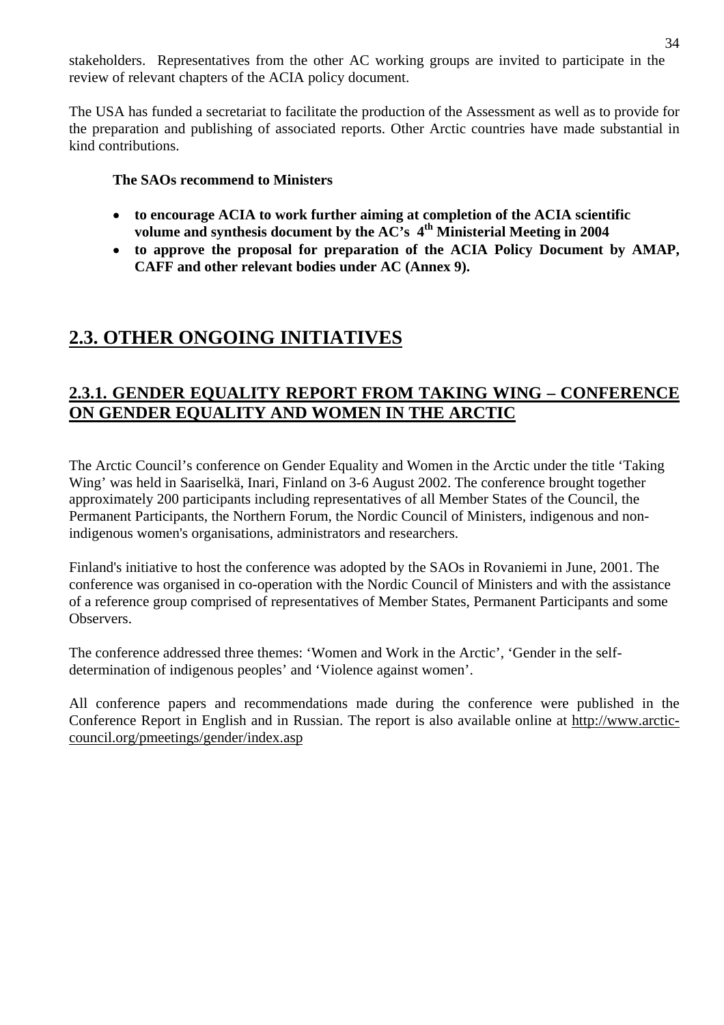stakeholders. Representatives from the other AC working groups are invited to participate in the review of relevant chapters of the ACIA policy document.

The USA has funded a secretariat to facilitate the production of the Assessment as well as to provide for the preparation and publishing of associated reports. Other Arctic countries have made substantial in kind contributions.

# **The SAOs recommend to Ministers**

- • **to encourage ACIA to work further aiming at completion of the ACIA scientific volume and synthesis document by the AC's 4th Ministerial Meeting in 2004**
- • **to approve the proposal for preparation of the ACIA Policy Document by AMAP, CAFF and other relevant bodies under AC (Annex 9).**

# **2.3. OTHER ONGOING INITIATIVES**

# **2.3.1. GENDER EQUALITY REPORT FROM TAKING WING – CONFERENCE ON GENDER EQUALITY AND WOMEN IN THE ARCTIC**

The Arctic Council's conference on Gender Equality and Women in the Arctic under the title 'Taking Wing' was held in Saariselkä, Inari, Finland on 3-6 August 2002. The conference brought together approximately 200 participants including representatives of all Member States of the Council, the Permanent Participants, the Northern Forum, the Nordic Council of Ministers, indigenous and nonindigenous women's organisations, administrators and researchers.

Finland's initiative to host the conference was adopted by the SAOs in Rovaniemi in June, 2001. The conference was organised in co-operation with the Nordic Council of Ministers and with the assistance of a reference group comprised of representatives of Member States, Permanent Participants and some Observers.

The conference addressed three themes: 'Women and Work in the Arctic', 'Gender in the selfdetermination of indigenous peoples' and 'Violence against women'.

All conference papers and recommendations made during the conference were published in the Conference Report in English and in Russian. The report is also available online at http://www.arcticcouncil.org/pmeetings/gender/index.asp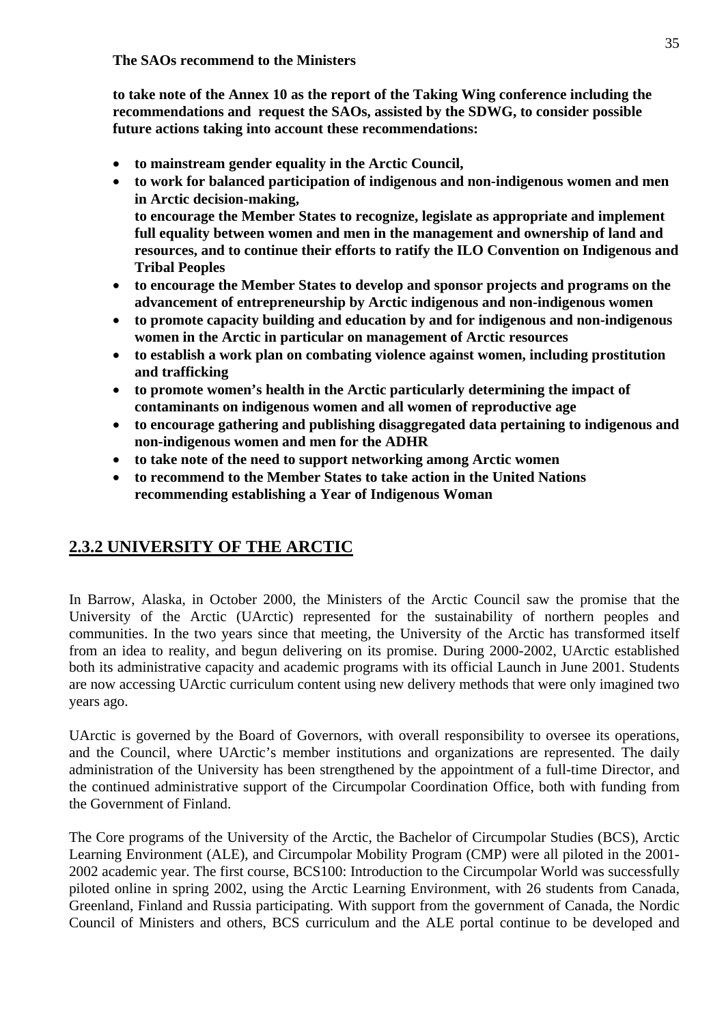**to take note of the Annex 10 as the report of the Taking Wing conference including the recommendations and request the SAOs, assisted by the SDWG, to consider possible future actions taking into account these recommendations:** 

- **to mainstream gender equality in the Arctic Council,**
- **to work for balanced participation of indigenous and non-indigenous women and men in Arctic decision-making, to encourage the Member States to recognize, legislate as appropriate and implement full equality between women and men in the management and ownership of land and resources, and to continue their efforts to ratify the ILO Convention on Indigenous and Tribal Peoples**
- **to encourage the Member States to develop and sponsor projects and programs on the advancement of entrepreneurship by Arctic indigenous and non-indigenous women**
- **to promote capacity building and education by and for indigenous and non-indigenous women in the Arctic in particular on management of Arctic resources**
- **to establish a work plan on combating violence against women, including prostitution and trafficking**
- **to promote women's health in the Arctic particularly determining the impact of contaminants on indigenous women and all women of reproductive age**
- **to encourage gathering and publishing disaggregated data pertaining to indigenous and non-indigenous women and men for the ADHR**
- **to take note of the need to support networking among Arctic women**
- **to recommend to the Member States to take action in the United Nations recommending establishing a Year of Indigenous Woman**

# **2.3.2 UNIVERSITY OF THE ARCTIC**

In Barrow, Alaska, in October 2000, the Ministers of the Arctic Council saw the promise that the University of the Arctic (UArctic) represented for the sustainability of northern peoples and communities. In the two years since that meeting, the University of the Arctic has transformed itself from an idea to reality, and begun delivering on its promise. During 2000-2002, UArctic established both its administrative capacity and academic programs with its official Launch in June 2001. Students are now accessing UArctic curriculum content using new delivery methods that were only imagined two years ago.

UArctic is governed by the Board of Governors, with overall responsibility to oversee its operations, and the Council, where UArctic's member institutions and organizations are represented. The daily administration of the University has been strengthened by the appointment of a full-time Director, and the continued administrative support of the Circumpolar Coordination Office, both with funding from the Government of Finland.

The Core programs of the University of the Arctic, the Bachelor of Circumpolar Studies (BCS), Arctic Learning Environment (ALE), and Circumpolar Mobility Program (CMP) were all piloted in the 2001- 2002 academic year. The first course, BCS100: Introduction to the Circumpolar World was successfully piloted online in spring 2002, using the Arctic Learning Environment, with 26 students from Canada, Greenland, Finland and Russia participating. With support from the government of Canada, the Nordic Council of Ministers and others, BCS curriculum and the ALE portal continue to be developed and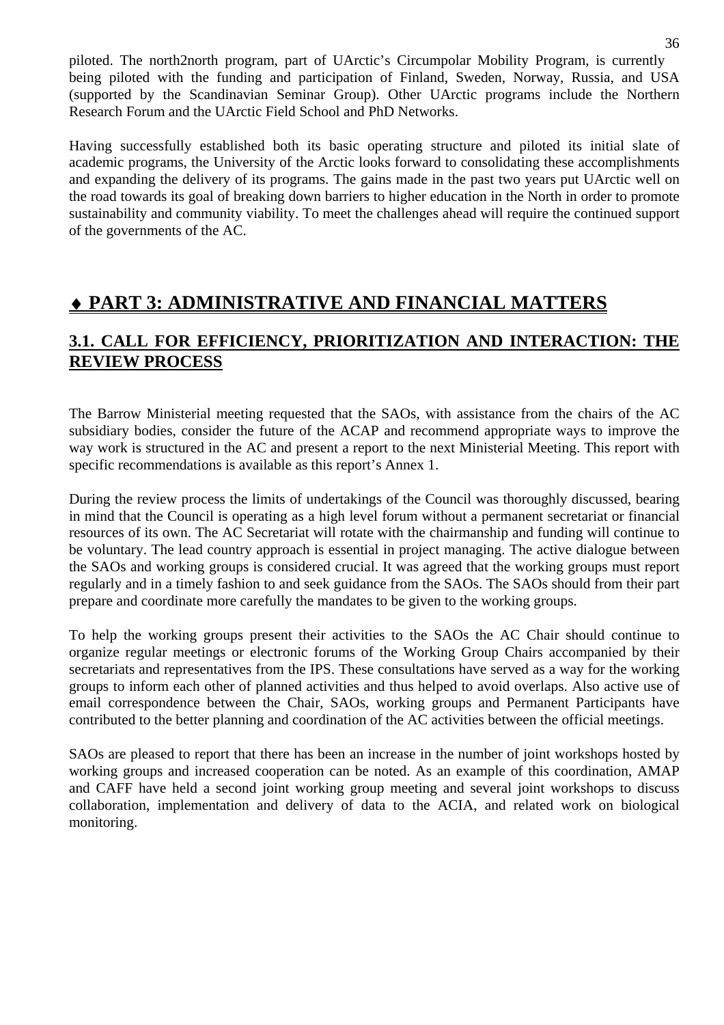piloted. The north2north program, part of UArctic's Circumpolar Mobility Program, is currently being piloted with the funding and participation of Finland, Sweden, Norway, Russia, and USA (supported by the Scandinavian Seminar Group). Other UArctic programs include the Northern Research Forum and the UArctic Field School and PhD Networks.

Having successfully established both its basic operating structure and piloted its initial slate of academic programs, the University of the Arctic looks forward to consolidating these accomplishments and expanding the delivery of its programs. The gains made in the past two years put UArctic well on the road towards its goal of breaking down barriers to higher education in the North in order to promote sustainability and community viability. To meet the challenges ahead will require the continued support of the governments of the AC.

# ♦ **PART 3: ADMINISTRATIVE AND FINANCIAL MATTERS**

# **3.1. CALL FOR EFFICIENCY, PRIORITIZATION AND INTERACTION: THE REVIEW PROCESS**

The Barrow Ministerial meeting requested that the SAOs, with assistance from the chairs of the AC subsidiary bodies, consider the future of the ACAP and recommend appropriate ways to improve the way work is structured in the AC and present a report to the next Ministerial Meeting. This report with specific recommendations is available as this report's Annex 1.

During the review process the limits of undertakings of the Council was thoroughly discussed, bearing in mind that the Council is operating as a high level forum without a permanent secretariat or financial resources of its own. The AC Secretariat will rotate with the chairmanship and funding will continue to be voluntary. The lead country approach is essential in project managing. The active dialogue between the SAOs and working groups is considered crucial. It was agreed that the working groups must report regularly and in a timely fashion to and seek guidance from the SAOs. The SAOs should from their part prepare and coordinate more carefully the mandates to be given to the working groups.

To help the working groups present their activities to the SAOs the AC Chair should continue to organize regular meetings or electronic forums of the Working Group Chairs accompanied by their secretariats and representatives from the IPS. These consultations have served as a way for the working groups to inform each other of planned activities and thus helped to avoid overlaps. Also active use of email correspondence between the Chair, SAOs, working groups and Permanent Participants have contributed to the better planning and coordination of the AC activities between the official meetings.

SAOs are pleased to report that there has been an increase in the number of joint workshops hosted by working groups and increased cooperation can be noted. As an example of this coordination, AMAP and CAFF have held a second joint working group meeting and several joint workshops to discuss collaboration, implementation and delivery of data to the ACIA, and related work on biological monitoring.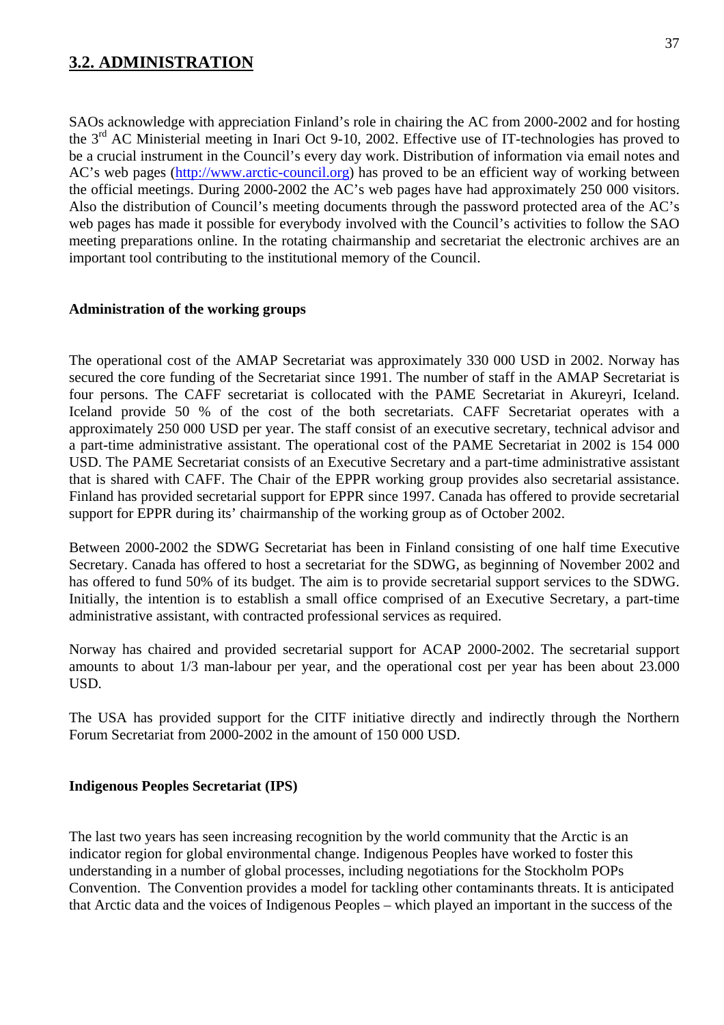# **3.2. ADMINISTRATION**

SAOs acknowledge with appreciation Finland's role in chairing the AC from 2000-2002 and for hosting the 3rd AC Ministerial meeting in Inari Oct 9-10, 2002. Effective use of IT-technologies has proved to be a crucial instrument in the Council's every day work. Distribution of information via email notes and AC's web pages (http://www.arctic-council.org) has proved to be an efficient way of working between the official meetings. During 2000-2002 the AC's web pages have had approximately 250 000 visitors. Also the distribution of Council's meeting documents through the password protected area of the AC's web pages has made it possible for everybody involved with the Council's activities to follow the SAO meeting preparations online. In the rotating chairmanship and secretariat the electronic archives are an important tool contributing to the institutional memory of the Council.

#### **Administration of the working groups**

The operational cost of the AMAP Secretariat was approximately 330 000 USD in 2002. Norway has secured the core funding of the Secretariat since 1991. The number of staff in the AMAP Secretariat is four persons. The CAFF secretariat is collocated with the PAME Secretariat in Akureyri, Iceland. Iceland provide 50 % of the cost of the both secretariats. CAFF Secretariat operates with a approximately 250 000 USD per year. The staff consist of an executive secretary, technical advisor and a part-time administrative assistant. The operational cost of the PAME Secretariat in 2002 is 154 000 USD. The PAME Secretariat consists of an Executive Secretary and a part-time administrative assistant that is shared with CAFF. The Chair of the EPPR working group provides also secretarial assistance. Finland has provided secretarial support for EPPR since 1997. Canada has offered to provide secretarial support for EPPR during its' chairmanship of the working group as of October 2002.

Between 2000-2002 the SDWG Secretariat has been in Finland consisting of one half time Executive Secretary. Canada has offered to host a secretariat for the SDWG, as beginning of November 2002 and has offered to fund 50% of its budget. The aim is to provide secretarial support services to the SDWG. Initially, the intention is to establish a small office comprised of an Executive Secretary, a part-time administrative assistant, with contracted professional services as required.

Norway has chaired and provided secretarial support for ACAP 2000-2002. The secretarial support amounts to about 1/3 man-labour per year, and the operational cost per year has been about 23.000 USD.

The USA has provided support for the CITF initiative directly and indirectly through the Northern Forum Secretariat from 2000-2002 in the amount of 150 000 USD.

#### **Indigenous Peoples Secretariat (IPS)**

The last two years has seen increasing recognition by the world community that the Arctic is an indicator region for global environmental change. Indigenous Peoples have worked to foster this understanding in a number of global processes, including negotiations for the Stockholm POPs Convention. The Convention provides a model for tackling other contaminants threats. It is anticipated that Arctic data and the voices of Indigenous Peoples – which played an important in the success of the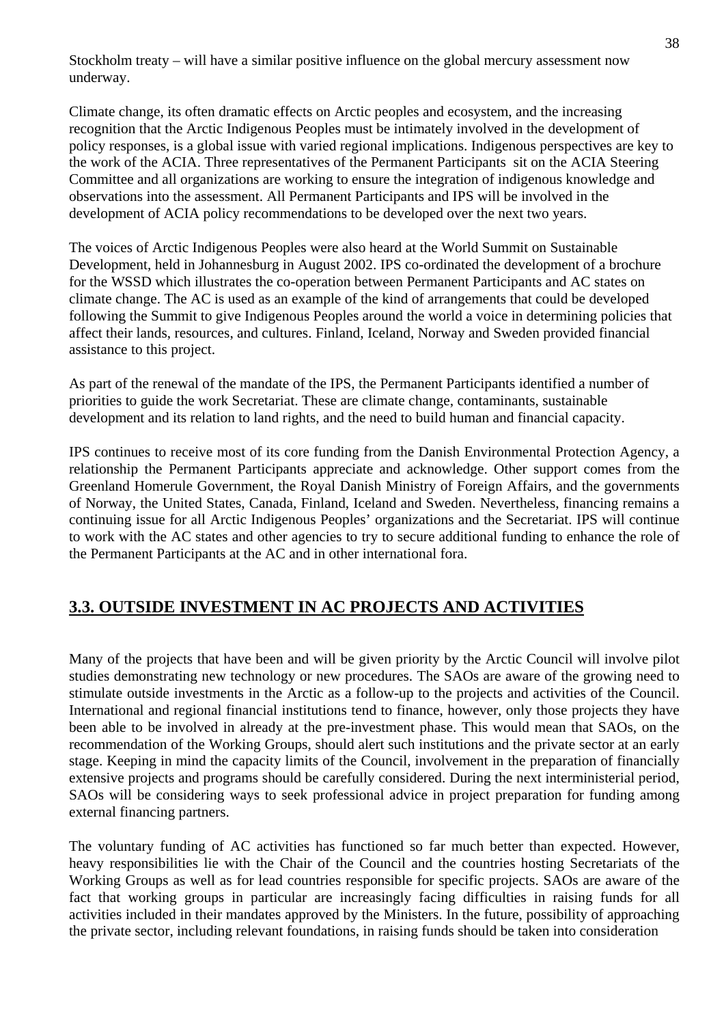Stockholm treaty – will have a similar positive influence on the global mercury assessment now underway.

Climate change, its often dramatic effects on Arctic peoples and ecosystem, and the increasing recognition that the Arctic Indigenous Peoples must be intimately involved in the development of policy responses, is a global issue with varied regional implications. Indigenous perspectives are key to the work of the ACIA. Three representatives of the Permanent Participants sit on the ACIA Steering Committee and all organizations are working to ensure the integration of indigenous knowledge and observations into the assessment. All Permanent Participants and IPS will be involved in the development of ACIA policy recommendations to be developed over the next two years.

The voices of Arctic Indigenous Peoples were also heard at the World Summit on Sustainable Development, held in Johannesburg in August 2002. IPS co-ordinated the development of a brochure for the WSSD which illustrates the co-operation between Permanent Participants and AC states on climate change. The AC is used as an example of the kind of arrangements that could be developed following the Summit to give Indigenous Peoples around the world a voice in determining policies that affect their lands, resources, and cultures. Finland, Iceland, Norway and Sweden provided financial assistance to this project.

As part of the renewal of the mandate of the IPS, the Permanent Participants identified a number of priorities to guide the work Secretariat. These are climate change, contaminants, sustainable development and its relation to land rights, and the need to build human and financial capacity.

IPS continues to receive most of its core funding from the Danish Environmental Protection Agency, a relationship the Permanent Participants appreciate and acknowledge. Other support comes from the Greenland Homerule Government, the Royal Danish Ministry of Foreign Affairs, and the governments of Norway, the United States, Canada, Finland, Iceland and Sweden. Nevertheless, financing remains a continuing issue for all Arctic Indigenous Peoples' organizations and the Secretariat. IPS will continue to work with the AC states and other agencies to try to secure additional funding to enhance the role of the Permanent Participants at the AC and in other international fora.

# **3.3. OUTSIDE INVESTMENT IN AC PROJECTS AND ACTIVITIES**

Many of the projects that have been and will be given priority by the Arctic Council will involve pilot studies demonstrating new technology or new procedures. The SAOs are aware of the growing need to stimulate outside investments in the Arctic as a follow-up to the projects and activities of the Council. International and regional financial institutions tend to finance, however, only those projects they have been able to be involved in already at the pre-investment phase. This would mean that SAOs, on the recommendation of the Working Groups, should alert such institutions and the private sector at an early stage. Keeping in mind the capacity limits of the Council, involvement in the preparation of financially extensive projects and programs should be carefully considered. During the next interministerial period, SAOs will be considering ways to seek professional advice in project preparation for funding among external financing partners.

The voluntary funding of AC activities has functioned so far much better than expected. However, heavy responsibilities lie with the Chair of the Council and the countries hosting Secretariats of the Working Groups as well as for lead countries responsible for specific projects. SAOs are aware of the fact that working groups in particular are increasingly facing difficulties in raising funds for all activities included in their mandates approved by the Ministers. In the future, possibility of approaching the private sector, including relevant foundations, in raising funds should be taken into consideration